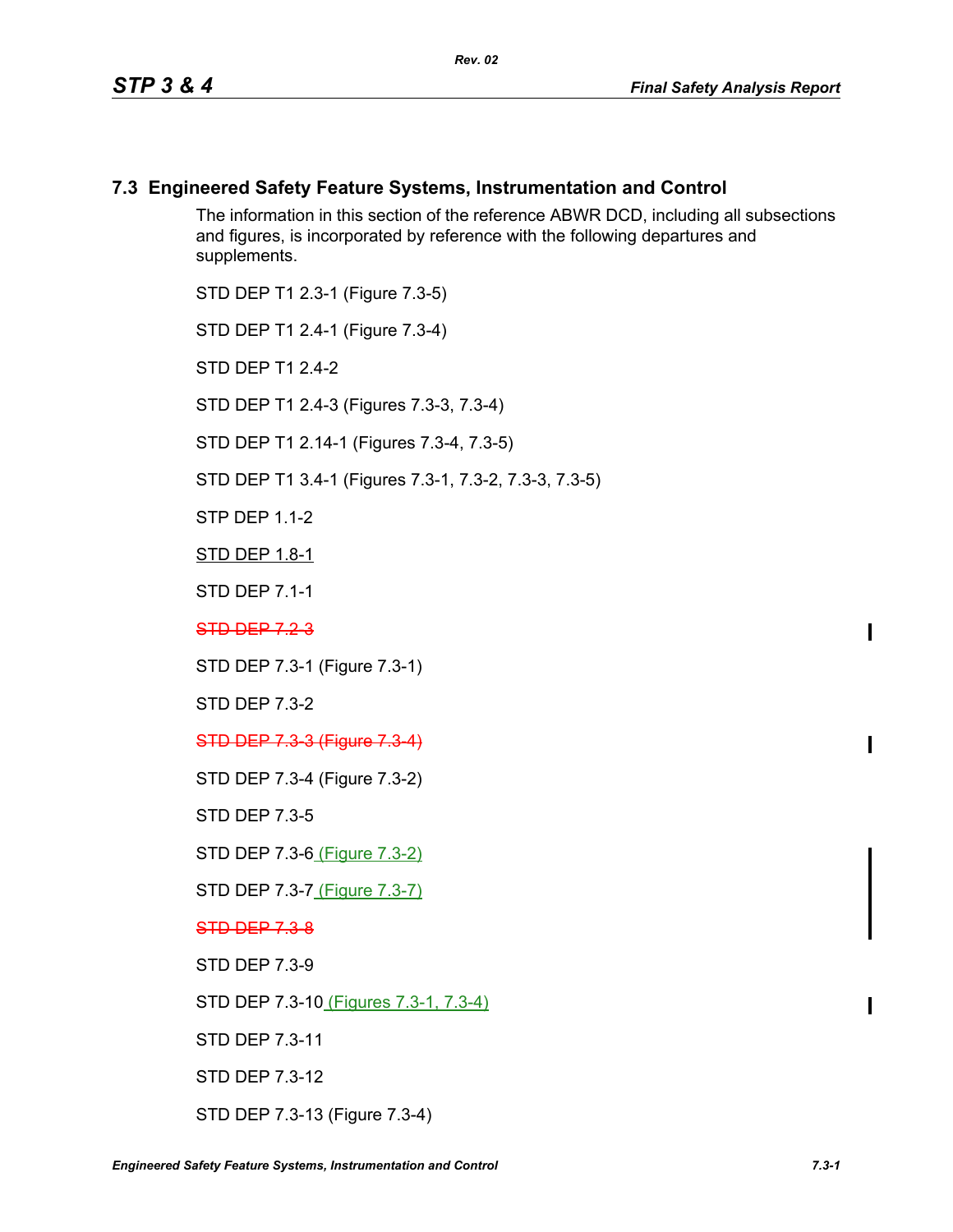## **7.3 Engineered Safety Feature Systems, Instrumentation and Control**

The information in this section of the reference ABWR DCD, including all subsections and figures, is incorporated by reference with the following departures and supplements.

STD DEP T1 2.3-1 (Figure 7.3-5)

STD DEP T1 2.4-1 (Figure 7.3-4)

STD DFP T1 2 4-2

STD DEP T1 2.4-3 (Figures 7.3-3, 7.3-4)

STD DEP T1 2.14-1 (Figures 7.3-4, 7.3-5)

STD DEP T1 3.4-1 (Figures 7.3-1, 7.3-2, 7.3-3, 7.3-5)

STP DFP 11-2

STD DEP 1.8-1

STD DEP 7.1-1

STD DEP 723

STD DEP 7.3-1 (Figure 7.3-1)

STD DEP 7.3-2

STD DEP 7.3-3 (Figure 7.3-4)

STD DEP 7.3-4 (Figure 7.3-2)

STD DEP 7.3-5

STD DEP 7.3-6 (Figure 7.3-2)

STD DEP 7.3-7 (Figure 7.3-7)

STD DEP 7.3-8

STD DEP 7.3-9

STD DEP 7.3-10 (Figures 7.3-1, 7.3-4)

STD DEP 7.3-11

STD DEP 7.3-12

STD DEP 7.3-13 (Figure 7.3-4)

 $\blacksquare$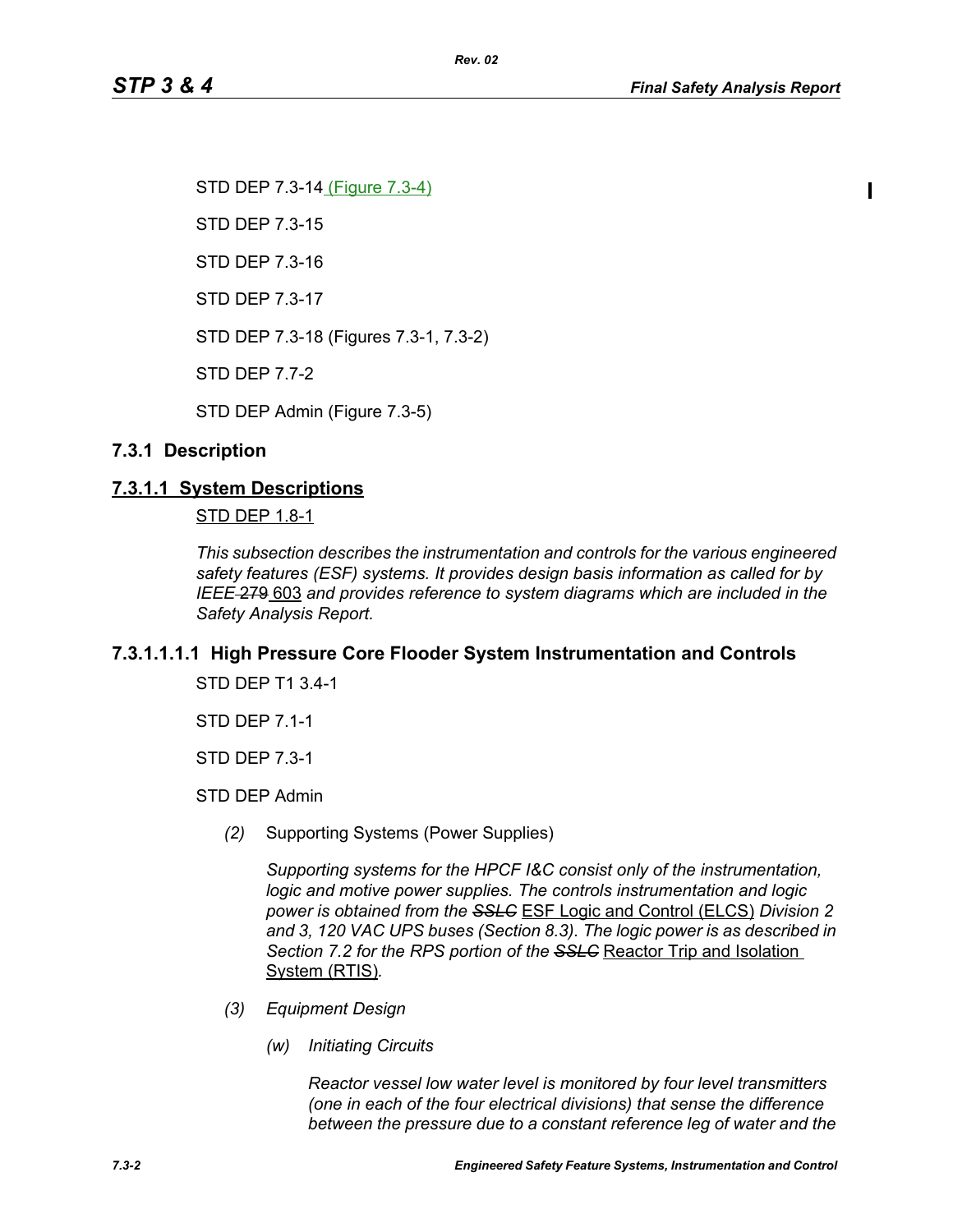Ι

STD DEP 7.3-14 (Figure 7.3-4) STD DEP 7.3-15 STD DEP 7.3-16 STD DEP 7.3-17 STD DEP 7.3-18 (Figures 7.3-1, 7.3-2) STD DEP 7.7-2 STD DEP Admin (Figure 7.3-5)

## **7.3.1 Description**

### **7.3.1.1 System Descriptions**

### STD DEP 1.8-1

*This subsection describes the instrumentation and controls for the various engineered safety features (ESF) systems. It provides design basis information as called for by IEEE* 279 603 *and provides reference to system diagrams which are included in the Safety Analysis Report.*

### **7.3.1.1.1.1 High Pressure Core Flooder System Instrumentation and Controls**

STD DEP T1 3.4-1

STD DEP 7.1-1

STD DEP 7.3-1

STD DEP Admin

*(2)* Supporting Systems (Power Supplies)

*Supporting systems for the HPCF I&C consist only of the instrumentation, logic and motive power supplies. The controls instrumentation and logic power is obtained from the SSLC* ESF Logic and Control (ELCS) *Division 2 and 3, 120 VAC UPS buses (Section 8.3). The logic power is as described in Section 7.2 for the RPS portion of the SSLC* Reactor Trip and Isolation System (RTIS)*.*

- *(3) Equipment Design*
	- *(w) Initiating Circuits*

*Reactor vessel low water level is monitored by four level transmitters (one in each of the four electrical divisions) that sense the difference between the pressure due to a constant reference leg of water and the*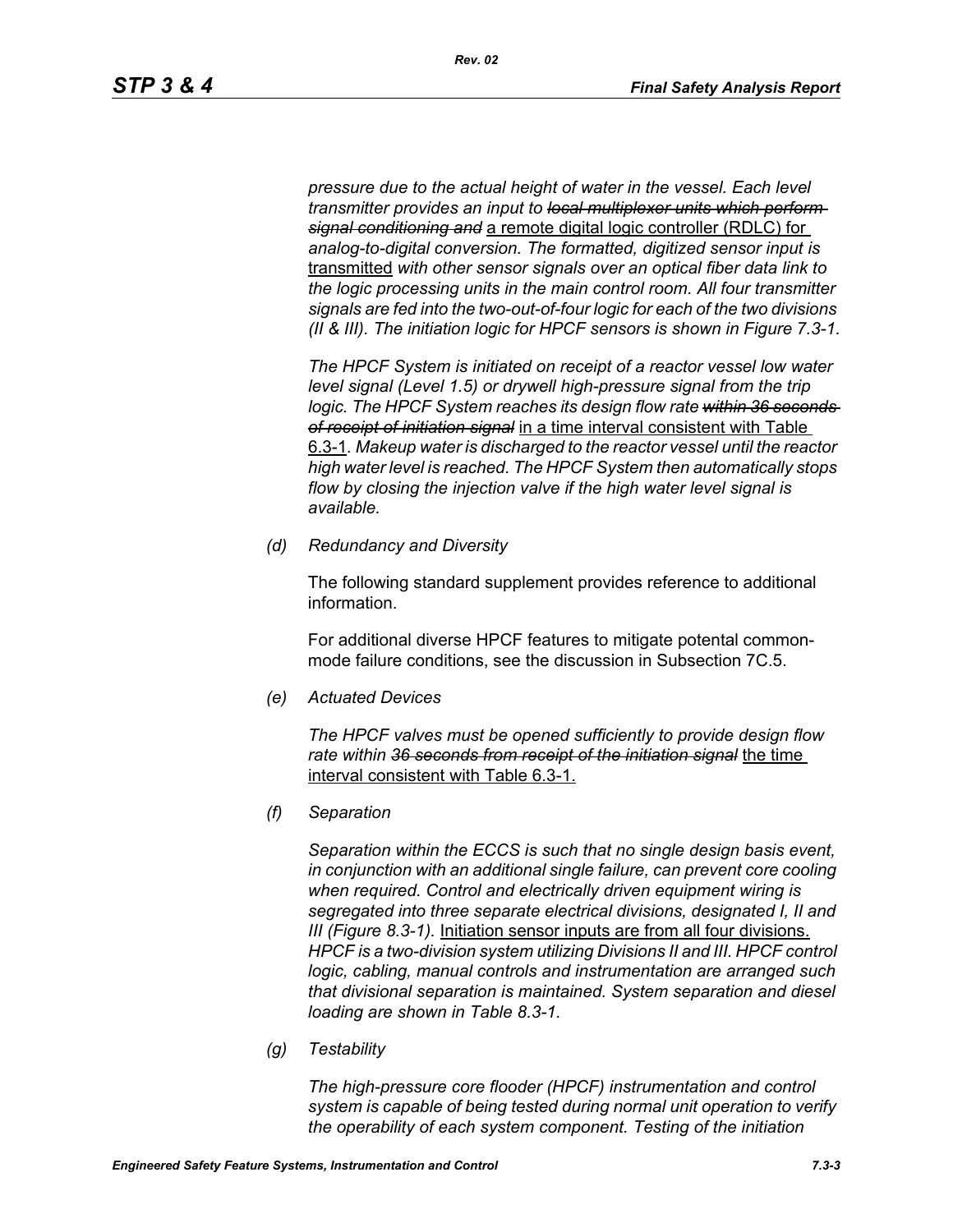*pressure due to the actual height of water in the vessel. Each level transmitter provides an input to local multiplexer units which perform signal conditioning and* a remote digital logic controller (RDLC) for *analog-to-digital conversion. The formatted, digitized sensor input is*  transmitted *with other sensor signals over an optical fiber data link to the logic processing units in the main control room. All four transmitter signals are fed into the two-out-of-four logic for each of the two divisions (II & III). The initiation logic for HPCF sensors is shown in Figure 7.3-1.*

*The HPCF System is initiated on receipt of a reactor vessel low water level signal (Level 1.5) or drywell high-pressure signal from the trip*  logic. The HPCF System reaches its design flow rate within 36 seconds *of receipt of initiation signal* in a time interval consistent with Table 6.3-1*. Makeup water is discharged to the reactor vessel until the reactor high water level is reached. The HPCF System then automatically stops flow by closing the injection valve if the high water level signal is available.*

*(d) Redundancy and Diversity*

The following standard supplement provides reference to additional information.

For additional diverse HPCF features to mitigate potental commonmode failure conditions, see the discussion in Subsection 7C.5.

*(e) Actuated Devices*

*The HPCF valves must be opened sufficiently to provide design flow rate within 36 seconds from receipt of the initiation signal* the time interval consistent with Table 6.3-1.

*(f) Separation*

*Separation within the ECCS is such that no single design basis event, in conjunction with an additional single failure, can prevent core cooling when required. Control and electrically driven equipment wiring is segregated into three separate electrical divisions, designated I, II and III (Figure 8.3-1).* Initiation sensor inputs are from all four divisions. *HPCF is a two-division system utilizing Divisions II and III. HPCF control logic, cabling, manual controls and instrumentation are arranged such that divisional separation is maintained. System separation and diesel loading are shown in Table 8.3-1.*

*(g) Testability*

*The high-pressure core flooder (HPCF) instrumentation and control system is capable of being tested during normal unit operation to verify the operability of each system component. Testing of the initiation*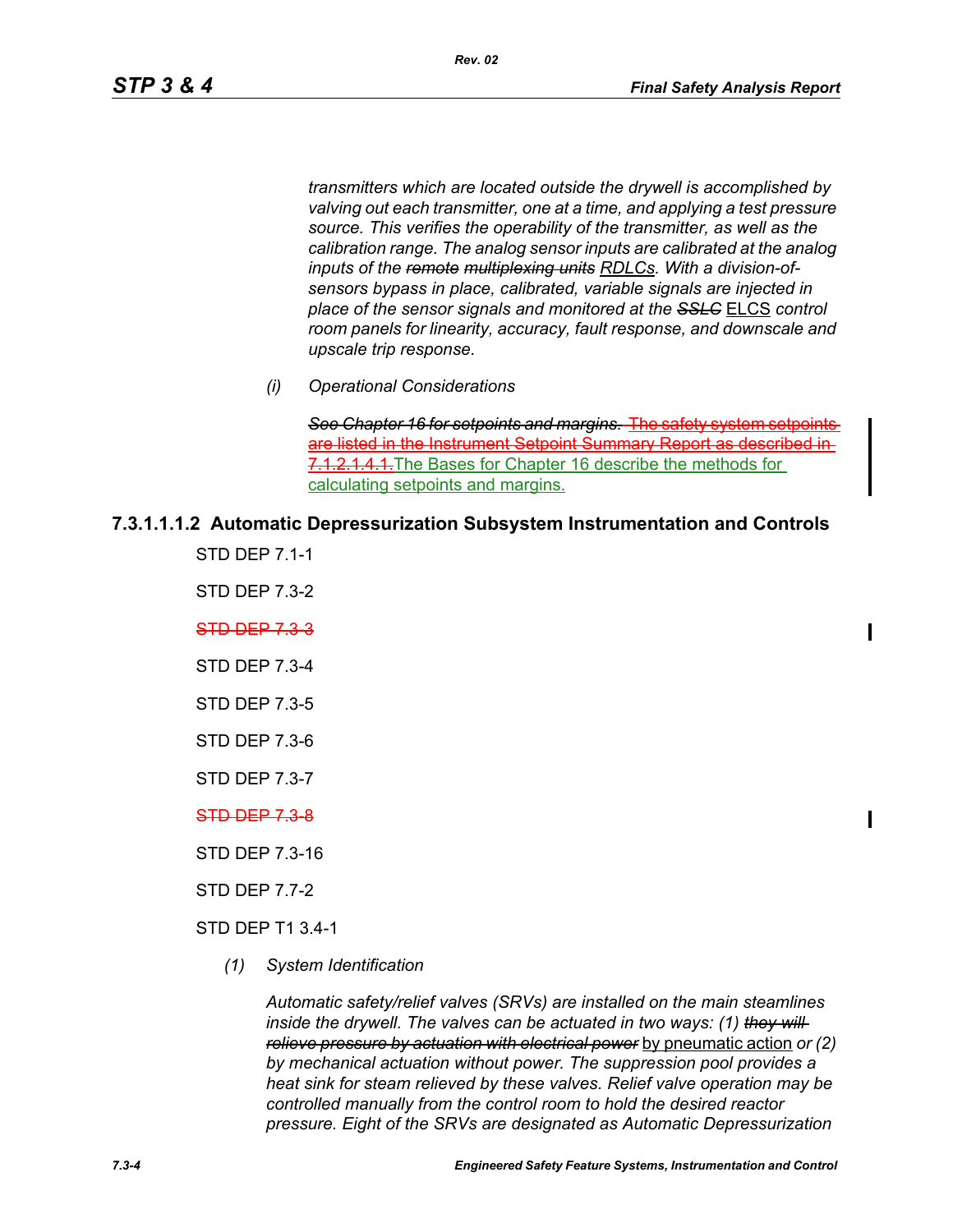$\mathbf I$ 

*transmitters which are located outside the drywell is accomplished by valving out each transmitter, one at a time, and applying a test pressure source. This verifies the operability of the transmitter, as well as the calibration range. The analog sensor inputs are calibrated at the analog inputs of the remote multiplexing units RDLCs. With a division-ofsensors bypass in place, calibrated, variable signals are injected in place of the sensor signals and monitored at the SSLC* ELCS *control room panels for linearity, accuracy, fault response, and downscale and upscale trip response.*

*(i) Operational Considerations*

**See Chapter 16 for setpoints and margins. The safe** are listed in the Instrument Setpoint Summary Report as described in 7.1.2.1.4.1. The Bases for Chapter 16 describe the methods for calculating setpoints and margins.

### **7.3.1.1.1.2 Automatic Depressurization Subsystem Instrumentation and Controls**

STD DEP 7.1-1

STD DEP 7.3-2

STD DEP 7.3-3

STD DEP 7.3-4

STD DEP 7.3-5

- STD DEP 7.3-6
- STD DEP 7.3-7

STD DEP 7.3-8

STD DEP 7.3-16

STD DEP 7.7-2

STD DEP T1 3.4-1

*(1) System Identification*

*Automatic safety/relief valves (SRVs) are installed on the main steamlines inside the drywell. The valves can be actuated in two ways: (1) they will relieve pressure by actuation with electrical power* by pneumatic action *or (2) by mechanical actuation without power. The suppression pool provides a heat sink for steam relieved by these valves. Relief valve operation may be controlled manually from the control room to hold the desired reactor pressure. Eight of the SRVs are designated as Automatic Depressurization*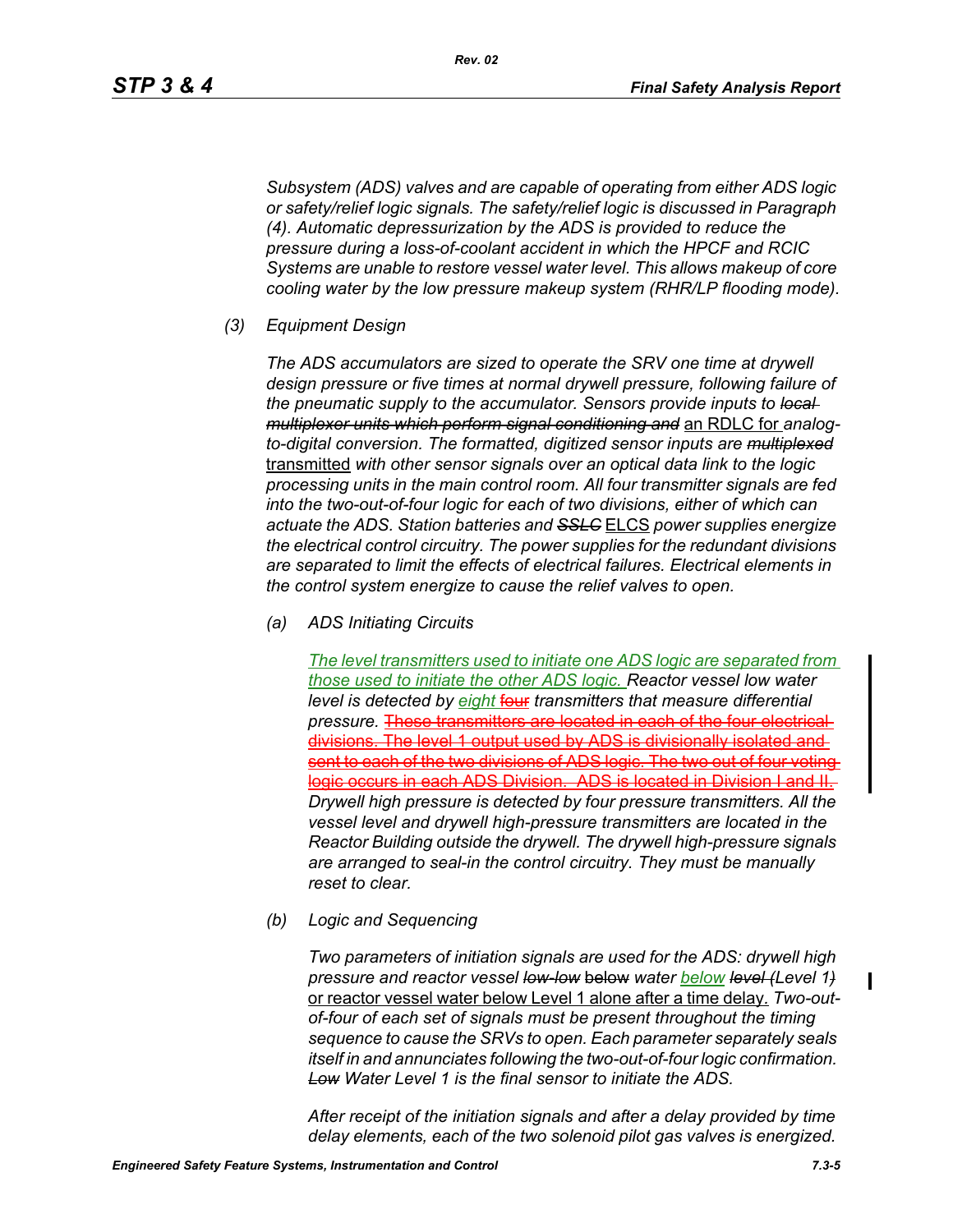*Subsystem (ADS) valves and are capable of operating from either ADS logic or safety/relief logic signals. The safety/relief logic is discussed in Paragraph (4). Automatic depressurization by the ADS is provided to reduce the pressure during a loss-of-coolant accident in which the HPCF and RCIC Systems are unable to restore vessel water level. This allows makeup of core cooling water by the low pressure makeup system (RHR/LP flooding mode).*

*(3) Equipment Design*

*The ADS accumulators are sized to operate the SRV one time at drywell design pressure or five times at normal drywell pressure, following failure of the pneumatic supply to the accumulator. Sensors provide inputs to local multiplexer units which perform signal conditioning and* an RDLC for *analogto-digital conversion. The formatted, digitized sensor inputs are multiplexed* transmitted *with other sensor signals over an optical data link to the logic processing units in the main control room. All four transmitter signals are fed into the two-out-of-four logic for each of two divisions, either of which can actuate the ADS. Station batteries and SSLC* ELCS *power supplies energize the electrical control circuitry. The power supplies for the redundant divisions are separated to limit the effects of electrical failures. Electrical elements in the control system energize to cause the relief valves to open.*

*(a) ADS Initiating Circuits*

*The level transmitters used to initiate one ADS logic are separated from those used to initiate the other ADS logic. Reactor vessel low water level is detected by eight* four *transmitters that measure differential pressure.* These transmitters are located in each of the four electrical divisions. The level 1 output used by ADS is divisionally isolated and sent to each of the two divisions of ADS logic. The two out of four voting ic occurs in each ADS Division. ADS is located in Division I and II *Drywell high pressure is detected by four pressure transmitters. All the vessel level and drywell high-pressure transmitters are located in the Reactor Building outside the drywell. The drywell high-pressure signals are arranged to seal-in the control circuitry. They must be manually reset to clear.*

*(b) Logic and Sequencing*

*Two parameters of initiation signals are used for the ADS: drywell high pressure and reactor vessel low-low* below *water below level (Level 1)* or reactor vessel water below Level 1 alone after a time delay*. Two-outof-four of each set of signals must be present throughout the timing sequence to cause the SRVs to open. Each parameter separately seals itself in and annunciates following the two-out-of-four logic confirmation. Low Water Level 1 is the final sensor to initiate the ADS.*

*After receipt of the initiation signals and after a delay provided by time delay elements, each of the two solenoid pilot gas valves is energized.* 

П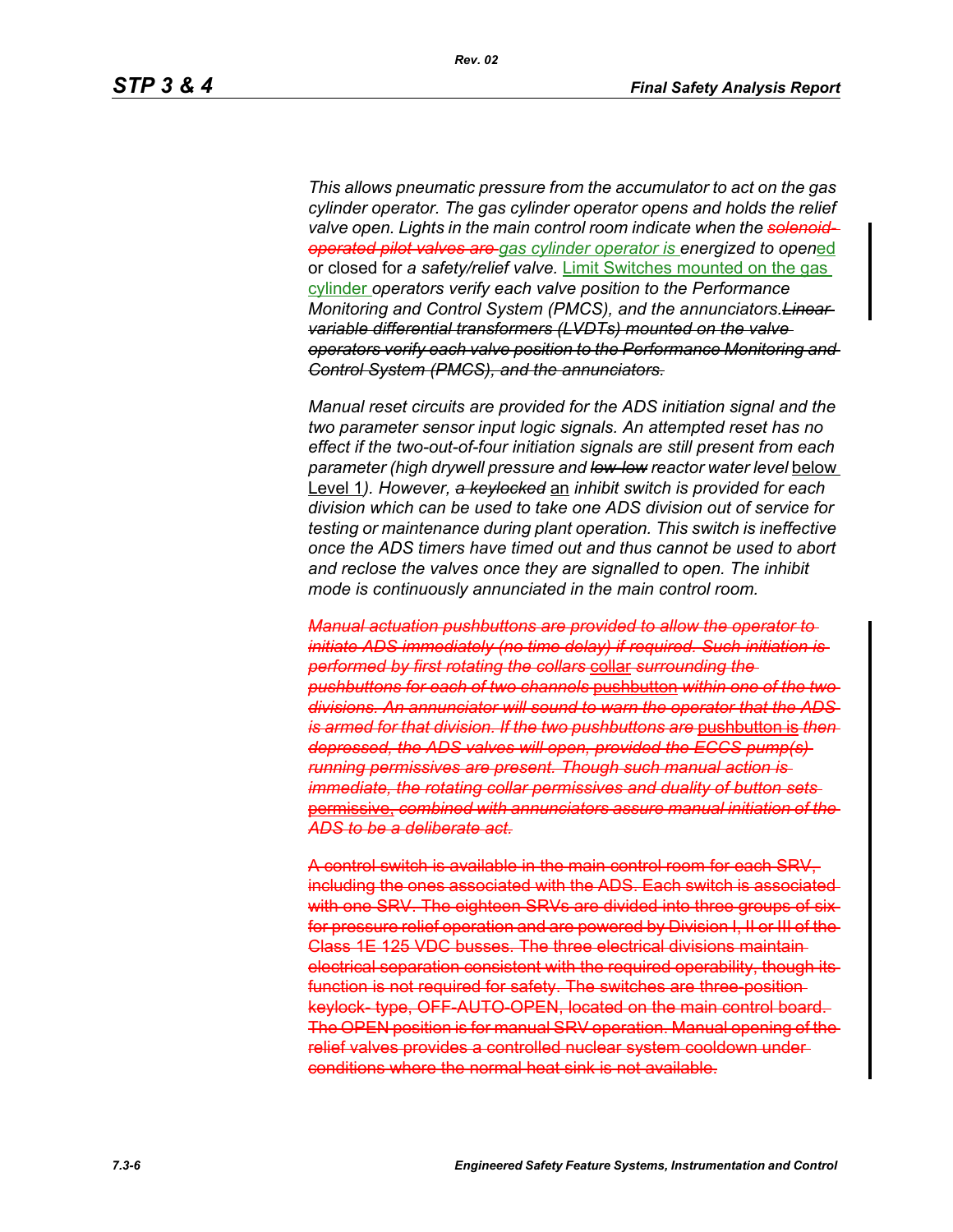*This allows pneumatic pressure from the accumulator to act on the gas cylinder operator. The gas cylinder operator opens and holds the relief valve open. Lights in the main control room indicate when the solenoidoperated pilot valves are gas cylinder operator is energized to open*ed or closed for *a safety/relief valve.* Limit Switches mounted on the gas cylinder *operators verify each valve position to the Performance Monitoring and Control System (PMCS), and the annunciators.Linear variable differential transformers (LVDTs) mounted on the valve operators verify each valve position to the Performance Monitoring and Control System (PMCS), and the annunciators.*

*Manual reset circuits are provided for the ADS initiation signal and the two parameter sensor input logic signals. An attempted reset has no effect if the two-out-of-four initiation signals are still present from each parameter (high drywell pressure and low-low reactor water level* below Level 1*). However, a keylocked* an *inhibit switch is provided for each division which can be used to take one ADS division out of service for testing or maintenance during plant operation. This switch is ineffective once the ADS timers have timed out and thus cannot be used to abort and reclose the valves once they are signalled to open. The inhibit mode is continuously annunciated in the main control room.*

*Manual actuation pushbuttons are provided to allow the operator to initiate ADS immediately (no time delay) if required. Such initiation is performed by first rotating the collars* collar *surrounding the pushbuttons for each of two channels* pushbutton *within one of the two divisions. An annunciator will sound to warn the operator that the ADS is armed for that division. If the two pushbuttons are* pushbutton is *then depressed, the ADS valves will open, provided the ECCS pump(s) running permissives are present. Though such manual action is immediate, the rotating collar permissives and duality of button sets* permissive, *combined with annunciators assure manual initiation of the ADS to be a deliberate act.*

A control switch is available in the main control room for each SRV, including the ones associated with the ADS. Each switch is associated with one SRV. The eighteen SRVs are divided into three groups of sixfor pressure relief operation and are powered by Division I, II or III of the Class 1E 125 VDC busses. The three electrical divisions maintain electrical separation consistent with the required operability, though its function is not required for safety. The switches are three-position keylock- type, OFF-AUTO-OPEN, located on the main control board. The OPEN position is for manual SRV operation. Manual opening of the relief valves provides a controlled nuclear system cooldown under conditions where the normal heat sink is not available.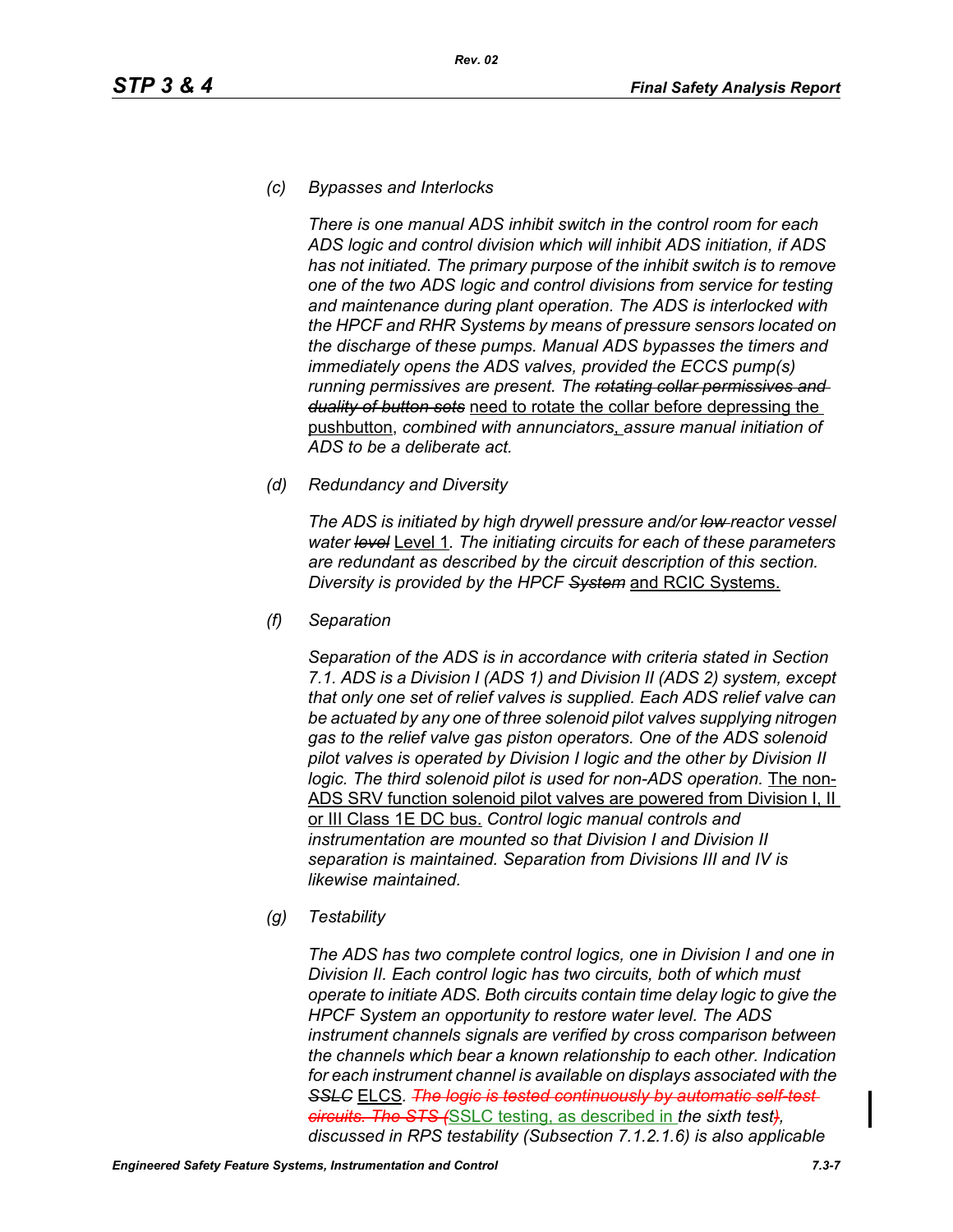## *(c) Bypasses and Interlocks*

*There is one manual ADS inhibit switch in the control room for each ADS logic and control division which will inhibit ADS initiation, if ADS has not initiated. The primary purpose of the inhibit switch is to remove one of the two ADS logic and control divisions from service for testing and maintenance during plant operation. The ADS is interlocked with the HPCF and RHR Systems by means of pressure sensors located on the discharge of these pumps. Manual ADS bypasses the timers and immediately opens the ADS valves, provided the ECCS pump(s) running permissives are present. The rotating collar permissives and duality of button sets* need to rotate the collar before depressing the pushbutton, *combined with annunciators*, *assure manual initiation of ADS to be a deliberate act.*

### *(d) Redundancy and Diversity*

*The ADS is initiated by high drywell pressure and/or low reactor vessel water level* Level 1*. The initiating circuits for each of these parameters are redundant as described by the circuit description of this section. Diversity is provided by the HPCF System* and RCIC Systems.

*(f) Separation*

*Separation of the ADS is in accordance with criteria stated in Section 7.1. ADS is a Division I (ADS 1) and Division II (ADS 2) system, except that only one set of relief valves is supplied. Each ADS relief valve can be actuated by any one of three solenoid pilot valves supplying nitrogen gas to the relief valve gas piston operators. One of the ADS solenoid pilot valves is operated by Division I logic and the other by Division II*  logic. The third solenoid pilot is used for non-ADS operation. The non-ADS SRV function solenoid pilot valves are powered from Division I, II or III Class 1E DC bus. *Control logic manual controls and instrumentation are mounted so that Division I and Division II separation is maintained. Separation from Divisions III and IV is likewise maintained.*

*(g) Testability*

*The ADS has two complete control logics, one in Division I and one in Division II. Each control logic has two circuits, both of which must operate to initiate ADS. Both circuits contain time delay logic to give the HPCF System an opportunity to restore water level. The ADS instrument channels signals are verified by cross comparison between the channels which bear a known relationship to each other. Indication for each instrument channel is available on displays associated with the*  **SSLC** ELCS. The logic is tested continuously by automatic self-test*circuits. The STS (*SSLC testing, as described in *the sixth test), discussed in RPS testability (Subsection 7.1.2.1.6) is also applicable*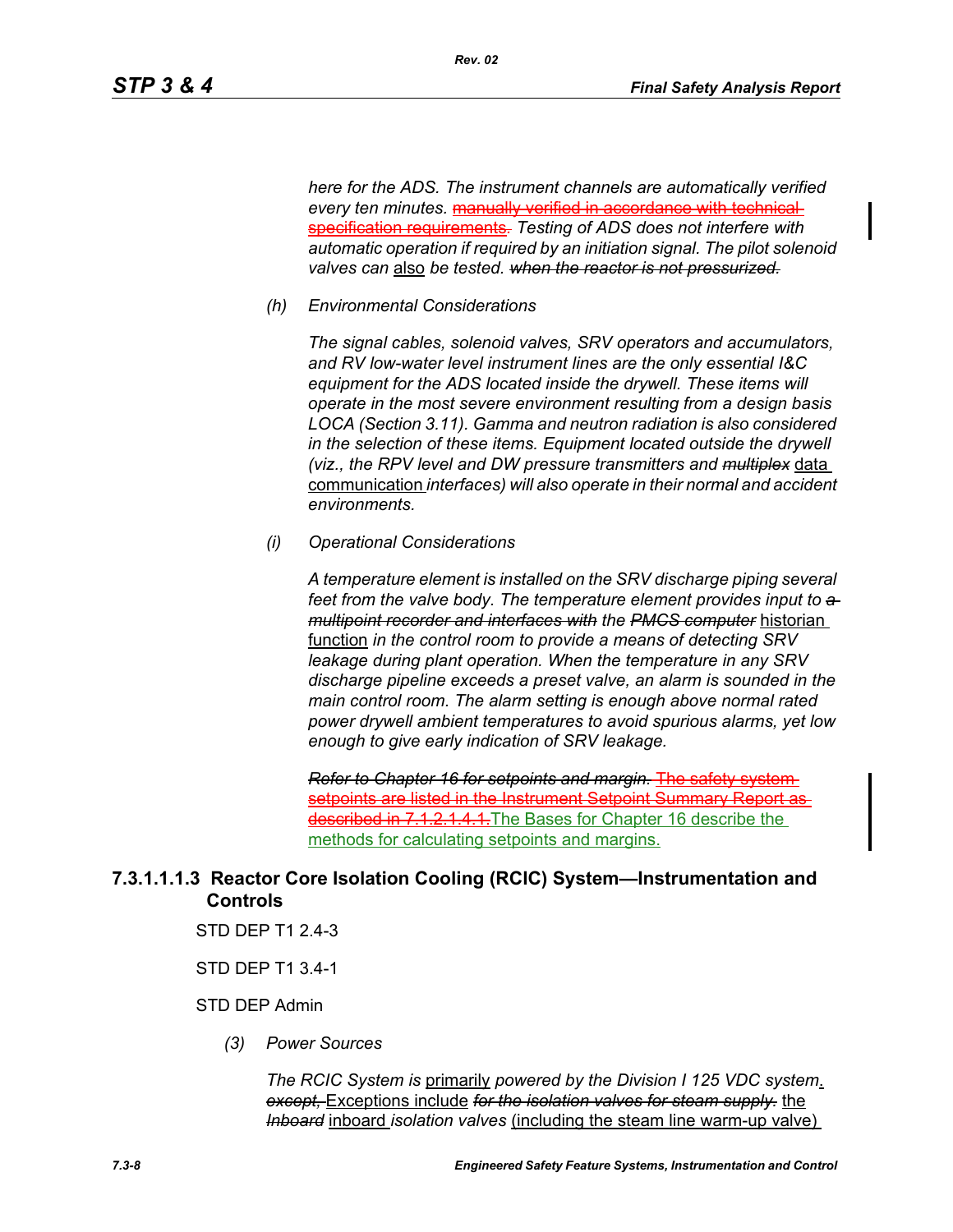*here for the ADS. The instrument channels are automatically verified every ten minutes.* manually verified in accordance with technical specification requirements*. Testing of ADS does not interfere with automatic operation if required by an initiation signal. The pilot solenoid valves can* also *be tested. when the reactor is not pressurized.*

*(h) Environmental Considerations*

*Rev. 02*

*The signal cables, solenoid valves, SRV operators and accumulators, and RV low-water level instrument lines are the only essential I&C equipment for the ADS located inside the drywell. These items will operate in the most severe environment resulting from a design basis LOCA (Section 3.11). Gamma and neutron radiation is also considered in the selection of these items. Equipment located outside the drywell (viz., the RPV level and DW pressure transmitters and multiplex* data communication *interfaces) will also operate in their normal and accident environments.*

*(i) Operational Considerations*

*A temperature element is installed on the SRV discharge piping several*  feet from the valve body. The temperature element provides input to  $a$ *multipoint recorder and interfaces with the PMCS computer* historian function *in the control room to provide a means of detecting SRV leakage during plant operation. When the temperature in any SRV discharge pipeline exceeds a preset valve, an alarm is sounded in the main control room. The alarm setting is enough above normal rated power drywell ambient temperatures to avoid spurious alarms, yet low enough to give early indication of SRV leakage.*

*Refer to Chapter 16 for setpoints and margin.* The safety system setpoints are listed in the Instrument Setpoint Summary Report asdescribed in 7.1.2.1.4.1. The Bases for Chapter 16 describe the methods for calculating setpoints and margins.

## **7.3.1.1.1.3 Reactor Core Isolation Cooling (RCIC) System—Instrumentation and Controls**

- STD DEP T1 2.4-3
- STD DEP T1 3.4-1

### STD DEP Admin

*(3) Power Sources*

*The RCIC System is* primarily *powered by the Division I 125 VDC system*. *except,* Exceptions include *for the isolation valves for steam supply.* the *Inboard* inboard *isolation valves* (including the steam line warm-up valve)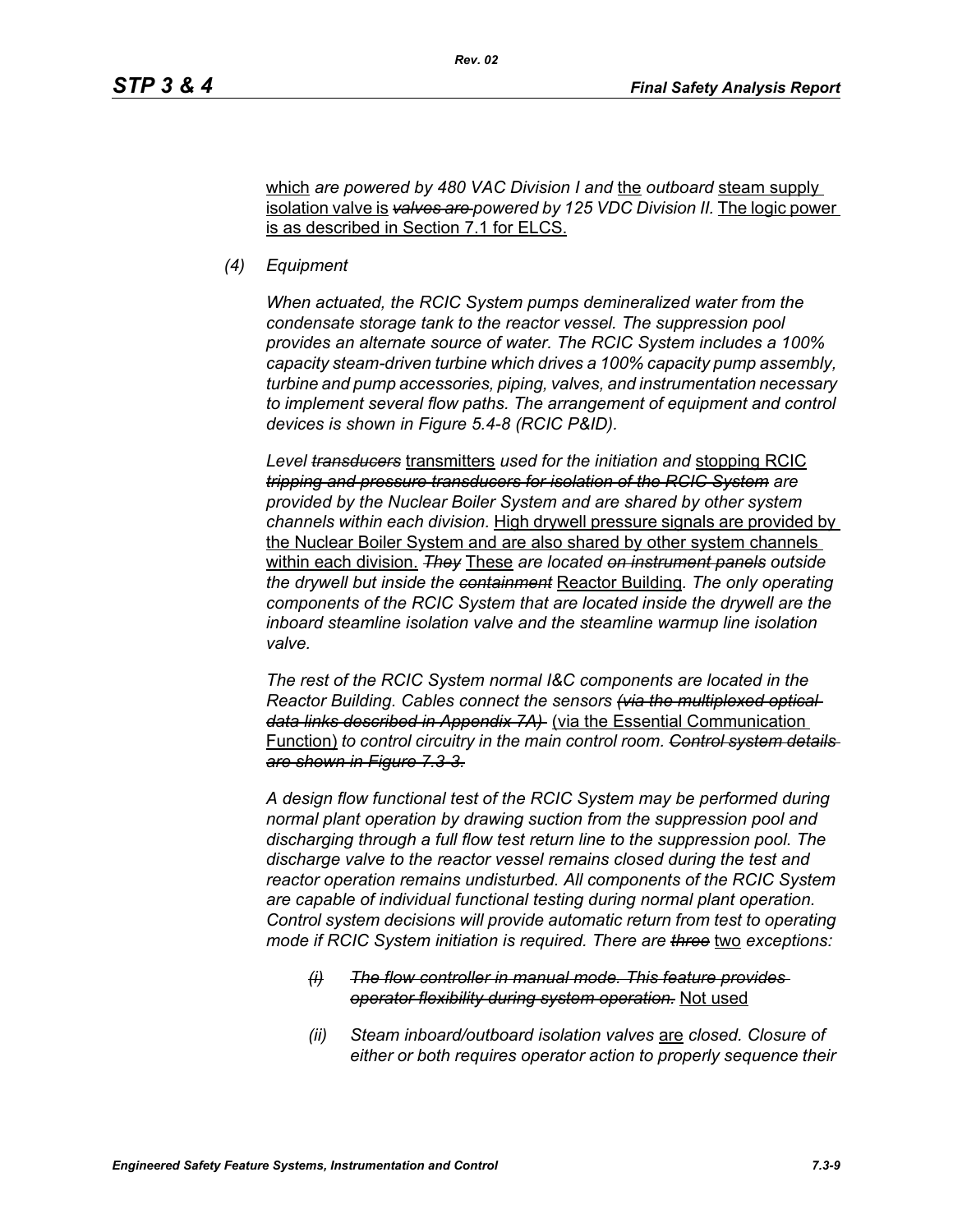which *are powered by 480 VAC Division I and* the *outboard* steam supply isolation valve is *valves are powered by 125 VDC Division II.* The logic power is as described in Section 7.1 for ELCS.

*Rev. 02*

*(4) Equipment*

*When actuated, the RCIC System pumps demineralized water from the condensate storage tank to the reactor vessel. The suppression pool provides an alternate source of water. The RCIC System includes a 100% capacity steam-driven turbine which drives a 100% capacity pump assembly, turbine and pump accessories, piping, valves, and instrumentation necessary to implement several flow paths. The arrangement of equipment and control devices is shown in Figure 5.4-8 (RCIC P&ID).*

*Level transducers* transmitters *used for the initiation and* stopping RCIC *tripping and pressure transducers for isolation of the RCIC System are provided by the Nuclear Boiler System and are shared by other system channels within each division.* High drywell pressure signals are provided by the Nuclear Boiler System and are also shared by other system channels within each division. *They* These *are located on instrument panels outside the drywell but inside the containment* Reactor Building*. The only operating components of the RCIC System that are located inside the drywell are the inboard steamline isolation valve and the steamline warmup line isolation valve.*

*The rest of the RCIC System normal I&C components are located in the Reactor Building. Cables connect the sensors (via the multiplexed optical data links described in Appendix 7A)* (via the Essential Communication Function) *to control circuitry in the main control room. Control system details are shown in Figure 7.3-3.*

*A design flow functional test of the RCIC System may be performed during normal plant operation by drawing suction from the suppression pool and discharging through a full flow test return line to the suppression pool. The discharge valve to the reactor vessel remains closed during the test and reactor operation remains undisturbed. All components of the RCIC System are capable of individual functional testing during normal plant operation. Control system decisions will provide automatic return from test to operating mode if RCIC System initiation is required. There are three* two *exceptions:*

- *(i) The flow controller in manual mode. This feature provides operator flexibility during system operation.* Not used
- *(ii) Steam inboard/outboard isolation valves* are *closed. Closure of either or both requires operator action to properly sequence their*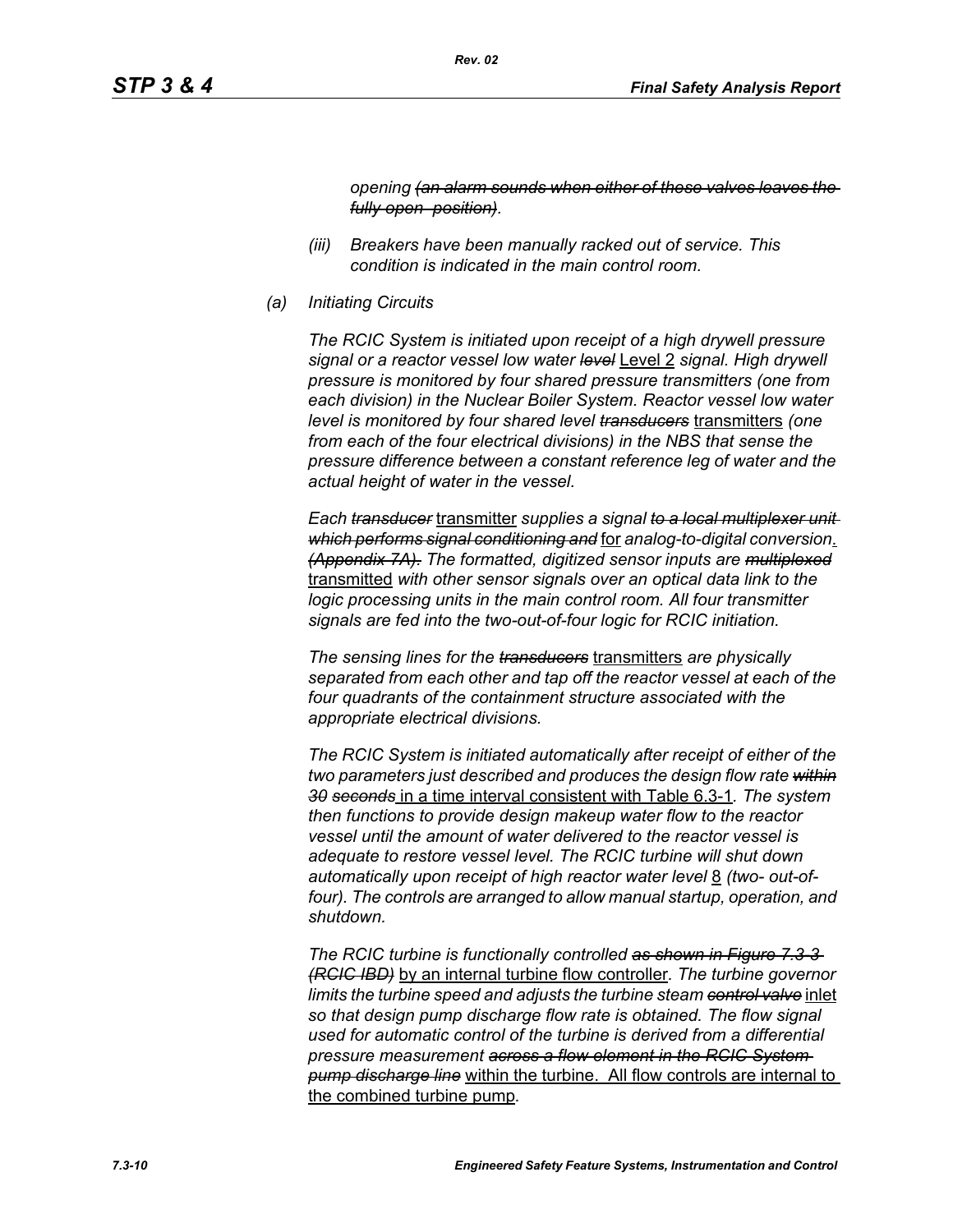*opening (an alarm sounds when either of these valves leaves the fully open position).* 

- *(iii) Breakers have been manually racked out of service. This condition is indicated in the main control room.*
- *(a) Initiating Circuits*

*The RCIC System is initiated upon receipt of a high drywell pressure signal or a reactor vessel low water level* Level 2 *signal. High drywell pressure is monitored by four shared pressure transmitters (one from each division) in the Nuclear Boiler System. Reactor vessel low water level is monitored by four shared level transducers* transmitters *(one from each of the four electrical divisions) in the NBS that sense the pressure difference between a constant reference leg of water and the actual height of water in the vessel.*

*Each transducer* transmitter *supplies a signal to a local multiplexer unit which performs signal conditioning and* for *analog-to-digital conversion*. *(Appendix 7A). The formatted, digitized sensor inputs are multiplexed* transmitted *with other sensor signals over an optical data link to the logic processing units in the main control room. All four transmitter signals are fed into the two-out-of-four logic for RCIC initiation.*

*The sensing lines for the transducers* transmitters *are physically separated from each other and tap off the reactor vessel at each of the four quadrants of the containment structure associated with the appropriate electrical divisions.*

*The RCIC System is initiated automatically after receipt of either of the two parameters just described and produces the design flow rate within 30 seconds* in a time interval consistent with Table 6.3-1*. The system then functions to provide design makeup water flow to the reactor vessel until the amount of water delivered to the reactor vessel is adequate to restore vessel level. The RCIC turbine will shut down automatically upon receipt of high reactor water level* 8 *(two- out-of*four). The controls are arranged to allow manual startup, operation, and *shutdown.*

*The RCIC turbine is functionally controlled as shown in Figure 7.3-3 (RCIC IBD)* by an internal turbine flow controller*. The turbine governor limits the turbine speed and adjusts the turbine steam control valve* inlet *so that design pump discharge flow rate is obtained. The flow signal used for automatic control of the turbine is derived from a differential pressure measurement across a flow element in the RCIC System pump discharge line* within the turbine. All flow controls are internal to the combined turbine pump*.*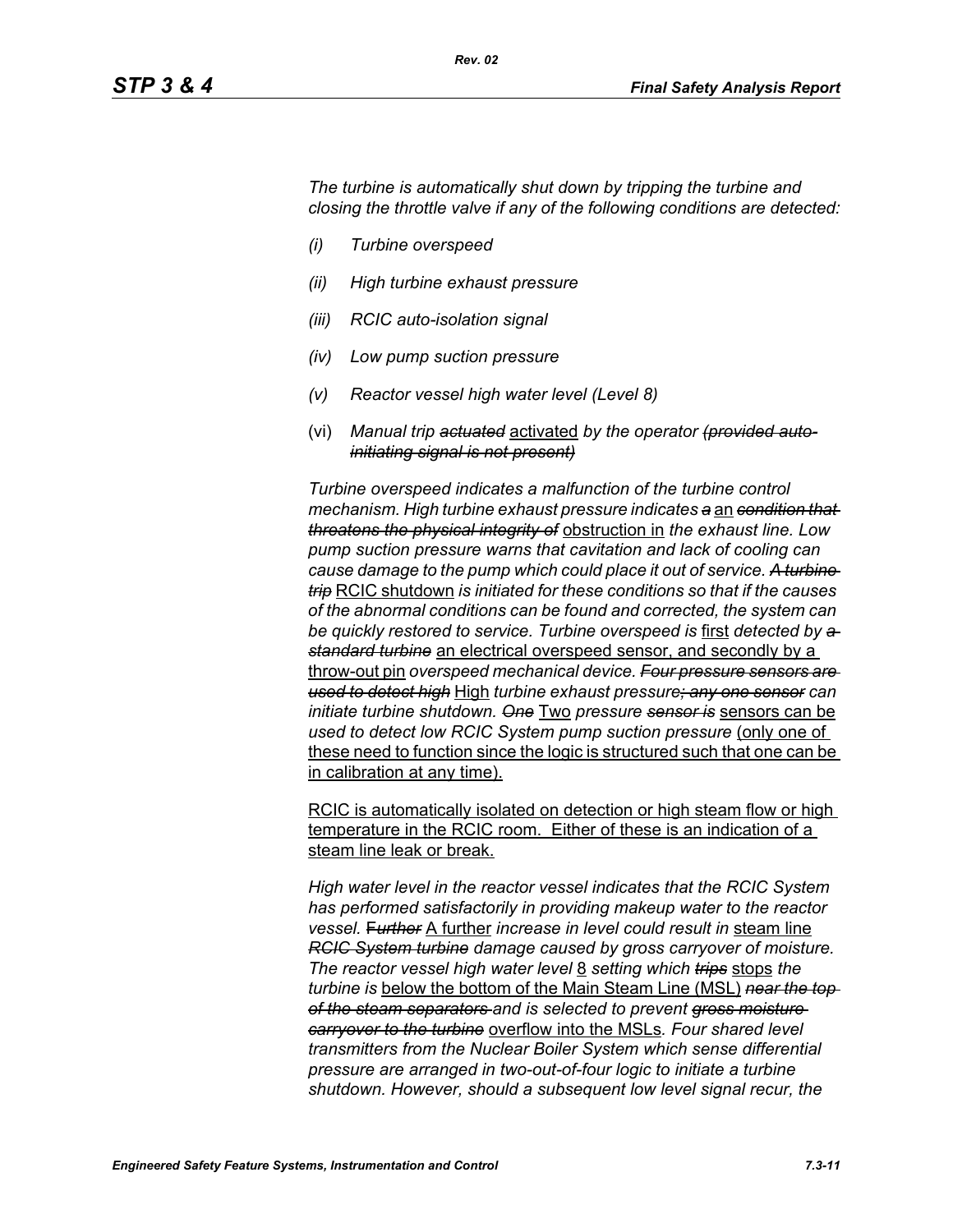*The turbine is automatically shut down by tripping the turbine and closing the throttle valve if any of the following conditions are detected:*

- *(i) Turbine overspeed*
- *(ii) High turbine exhaust pressure*
- *(iii) RCIC auto-isolation signal*
- *(iv) Low pump suction pressure*
- *(v) Reactor vessel high water level (Level 8)*
- (vi) *Manual trip actuated* activated *by the operator (provided autoinitiating signal is not present)*

*Turbine overspeed indicates a malfunction of the turbine control mechanism. High turbine exhaust pressure indicates a* an *condition that threatens the physical integrity of* obstruction in *the exhaust line. Low pump suction pressure warns that cavitation and lack of cooling can cause damage to the pump which could place it out of service. A turbine trip* RCIC shutdown *is initiated for these conditions so that if the causes of the abnormal conditions can be found and corrected, the system can be quickly restored to service. Turbine overspeed is* first *detected by a standard turbine* an electrical overspeed sensor, and secondly by a throw-out pin *overspeed mechanical device. Four pressure sensors are used to detect high* High *turbine exhaust pressure; any one sensor can initiate turbine shutdown. One* Two *pressure sensor is* sensors can be *used to detect low RCIC System pump suction pressure* (only one of these need to function since the logic is structured such that one can be in calibration at any time).

RCIC is automatically isolated on detection or high steam flow or high temperature in the RCIC room. Either of these is an indication of a steam line leak or break.

*High water level in the reactor vessel indicates that the RCIC System has performed satisfactorily in providing makeup water to the reactor vessel.* F*urther* A further *increase in level could result in* steam line *RCIC System turbine damage caused by gross carryover of moisture. The reactor vessel high water level* 8 *setting which trips* stops *the turbine is* below the bottom of the Main Steam Line (MSL) *near the top of the steam separators and is selected to prevent gross moisture carryover to the turbine* overflow into the MSLs*. Four shared level transmitters from the Nuclear Boiler System which sense differential pressure are arranged in two-out-of-four logic to initiate a turbine shutdown. However, should a subsequent low level signal recur, the*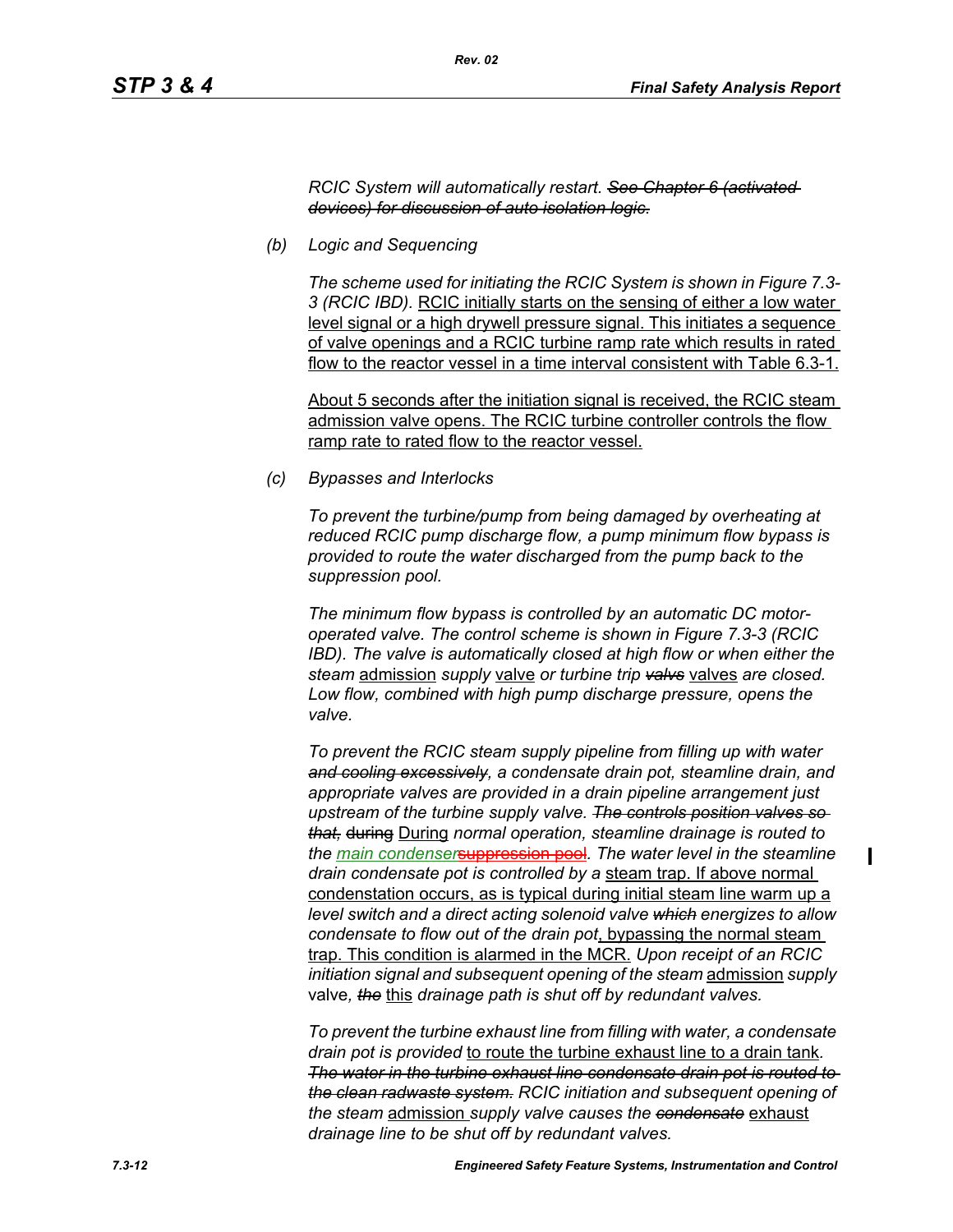#### *RCIC System will automatically restart. See Chapter 6 (activated devices) for discussion of auto isolation logic.*

*(b) Logic and Sequencing*

*The scheme used for initiating the RCIC System is shown in Figure 7.3- 3 (RCIC IBD).* RCIC initially starts on the sensing of either a low water level signal or a high drywell pressure signal. This initiates a sequence of valve openings and a RCIC turbine ramp rate which results in rated flow to the reactor vessel in a time interval consistent with Table 6.3-1.

About 5 seconds after the initiation signal is received, the RCIC steam admission valve opens. The RCIC turbine controller controls the flow ramp rate to rated flow to the reactor vessel.

*(c) Bypasses and Interlocks*

*To prevent the turbine/pump from being damaged by overheating at reduced RCIC pump discharge flow, a pump minimum flow bypass is provided to route the water discharged from the pump back to the suppression pool.*

*The minimum flow bypass is controlled by an automatic DC motoroperated valve. The control scheme is shown in Figure 7.3-3 (RCIC IBD). The valve is automatically closed at high flow or when either the steam* admission *supply* valve *or turbine trip valvs* valves *are closed. Low flow, combined with high pump discharge pressure, opens the valve.*

*To prevent the RCIC steam supply pipeline from filling up with water and cooling excessively, a condensate drain pot, steamline drain, and appropriate valves are provided in a drain pipeline arrangement just upstream of the turbine supply valve. The controls position valves so that,* during During *normal operation, steamline drainage is routed to the main condenser*suppression pool*. The water level in the steamline drain condensate pot is controlled by a* steam trap. If above normal condenstation occurs, as is typical during initial steam line warm up a *level switch and a direct acting solenoid valve which energizes to allow condensate to flow out of the drain pot*, bypassing the normal steam trap. This condition is alarmed in the MCR. *Upon receipt of an RCIC initiation signal and subsequent opening of the steam* admission *supply*  valve*, the* this *drainage path is shut off by redundant valves.*

*To prevent the turbine exhaust line from filling with water, a condensate drain pot is provided* to route the turbine exhaust line to a drain tank*. The water in the turbine exhaust line condensate drain pot is routed to the clean radwaste system. RCIC initiation and subsequent opening of the steam* admission *supply valve causes the condensate* exhaust *drainage line to be shut off by redundant valves.*

 $\blacksquare$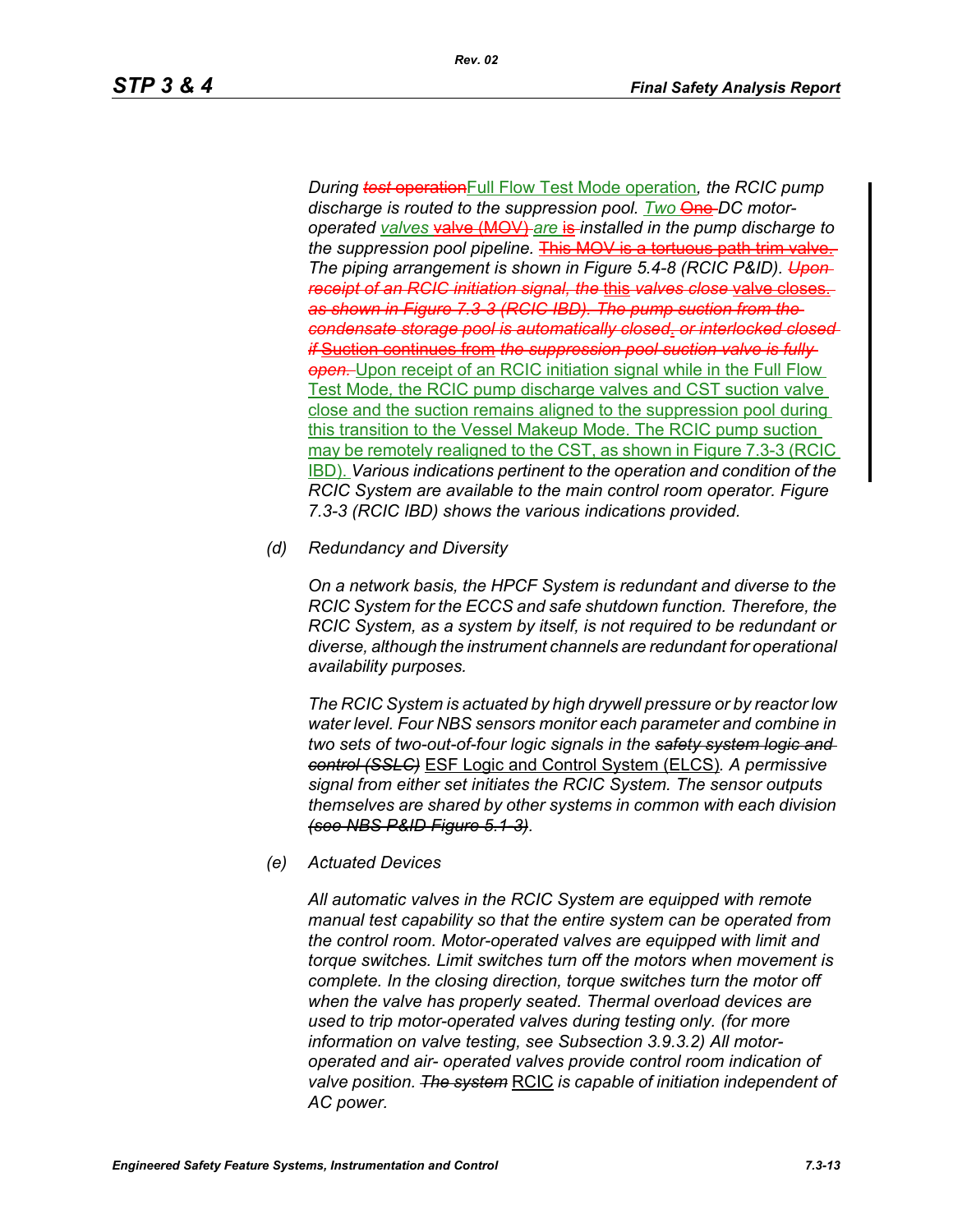*During test* operationFull Flow Test Mode operation*, the RCIC pump*  discharge is routed to the suppression pool. Two **One**-DC motor*operated valves* valve (MOV) *are* is *installed in the pump discharge to*  the suppression pool pipeline. **This MOV is a tortuous path trim valve.** *The piping arrangement is shown in Figure 5.4-8 (RCIC P&ID). Upon receipt of an RCIC initiation signal, the* this *valves close* valve closes. *as shown in Figure 7.3-3 (RCIC IBD). The pump suction from the condensate storage pool is automatically closed*. *or interlocked closed if* Suction continues from *the suppression pool suction valve is fully*  **open.** Upon receipt of an RCIC initiation signal while in the Full Flow Test Mode*,* the RCIC pump discharge valves and CST suction valve close and the suction remains aligned to the suppression pool during this transition to the Vessel Makeup Mode. The RCIC pump suction may be remotely realigned to the CST, as shown in Figure 7.3-3 (RCIC **IBD)**. *Various indications pertinent to the operation and condition of the RCIC System are available to the main control room operator. Figure 7.3-3 (RCIC IBD) shows the various indications provided.*

*(d) Redundancy and Diversity*

*On a network basis, the HPCF System is redundant and diverse to the RCIC System for the ECCS and safe shutdown function. Therefore, the RCIC System, as a system by itself, is not required to be redundant or diverse, although the instrument channels are redundant for operational availability purposes.*

*The RCIC System is actuated by high drywell pressure or by reactor low water level. Four NBS sensors monitor each parameter and combine in two sets of two-out-of-four logic signals in the safety system logic and control (SSLC)* ESF Logic and Control System (ELCS)*. A permissive signal from either set initiates the RCIC System. The sensor outputs themselves are shared by other systems in common with each division (see NBS P&ID Figure 5.1-3).*

*(e) Actuated Devices*

*All automatic valves in the RCIC System are equipped with remote manual test capability so that the entire system can be operated from the control room. Motor-operated valves are equipped with limit and torque switches. Limit switches turn off the motors when movement is complete. In the closing direction, torque switches turn the motor off when the valve has properly seated. Thermal overload devices are used to trip motor-operated valves during testing only. (for more information on valve testing, see Subsection 3.9.3.2) All motoroperated and air- operated valves provide control room indication of valve position. The system* RCIC *is capable of initiation independent of AC power.*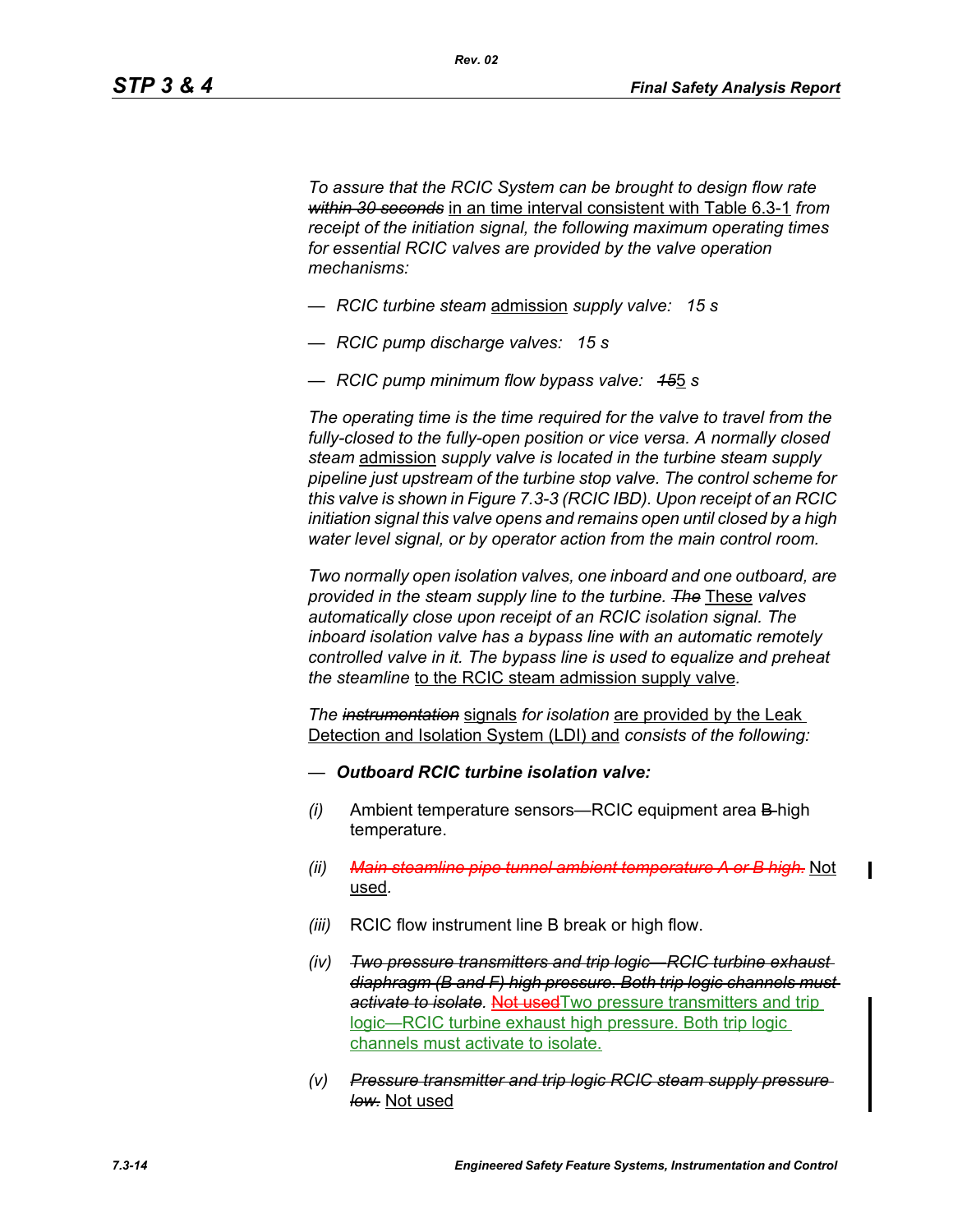*To assure that the RCIC System can be brought to design flow rate within 30 seconds* in an time interval consistent with Table 6.3-1 *from receipt of the initiation signal, the following maximum operating times for essential RCIC valves are provided by the valve operation mechanisms:*

- *RCIC turbine steam* admission *supply valve: 15 s*
- *RCIC pump discharge valves: 15 s*
- *RCIC pump minimum flow bypass valve: 15*5 *s*

*The operating time is the time required for the valve to travel from the fully-closed to the fully-open position or vice versa. A normally closed steam* admission *supply valve is located in the turbine steam supply pipeline just upstream of the turbine stop valve. The control scheme for this valve is shown in Figure 7.3-3 (RCIC IBD). Upon receipt of an RCIC initiation signal this valve opens and remains open until closed by a high water level signal, or by operator action from the main control room.*

*Two normally open isolation valves, one inboard and one outboard, are provided in the steam supply line to the turbine. The* These *valves automatically close upon receipt of an RCIC isolation signal. The inboard isolation valve has a bypass line with an automatic remotely controlled valve in it. The bypass line is used to equalize and preheat the steamline* to the RCIC steam admission supply valve*.*

*The instrumentation* signals *for isolation* are provided by the Leak Detection and Isolation System (LDI) and *consists of the following:*

- *— Outboard RCIC turbine isolation valve:*
- *(i)* Ambient temperature sensors—RCIC equipment area B high temperature.
- *(ii) Main steamline pipe tunnel ambient temperature A or B high.* Not used*.*
- *(iii)* RCIC flow instrument line B break or high flow.
- *(iv) Two pressure transmitters and trip logic—RCIC turbine exhaust diaphragm (B and F) high pressure. Both trip logic channels must*  activate to *isolate*. Not used Two pressure transmitters and trip logic—RCIC turbine exhaust high pressure. Both trip logic channels must activate to isolate.
- *(v) Pressure transmitter and trip logic RCIC steam supply pressure low.* Not used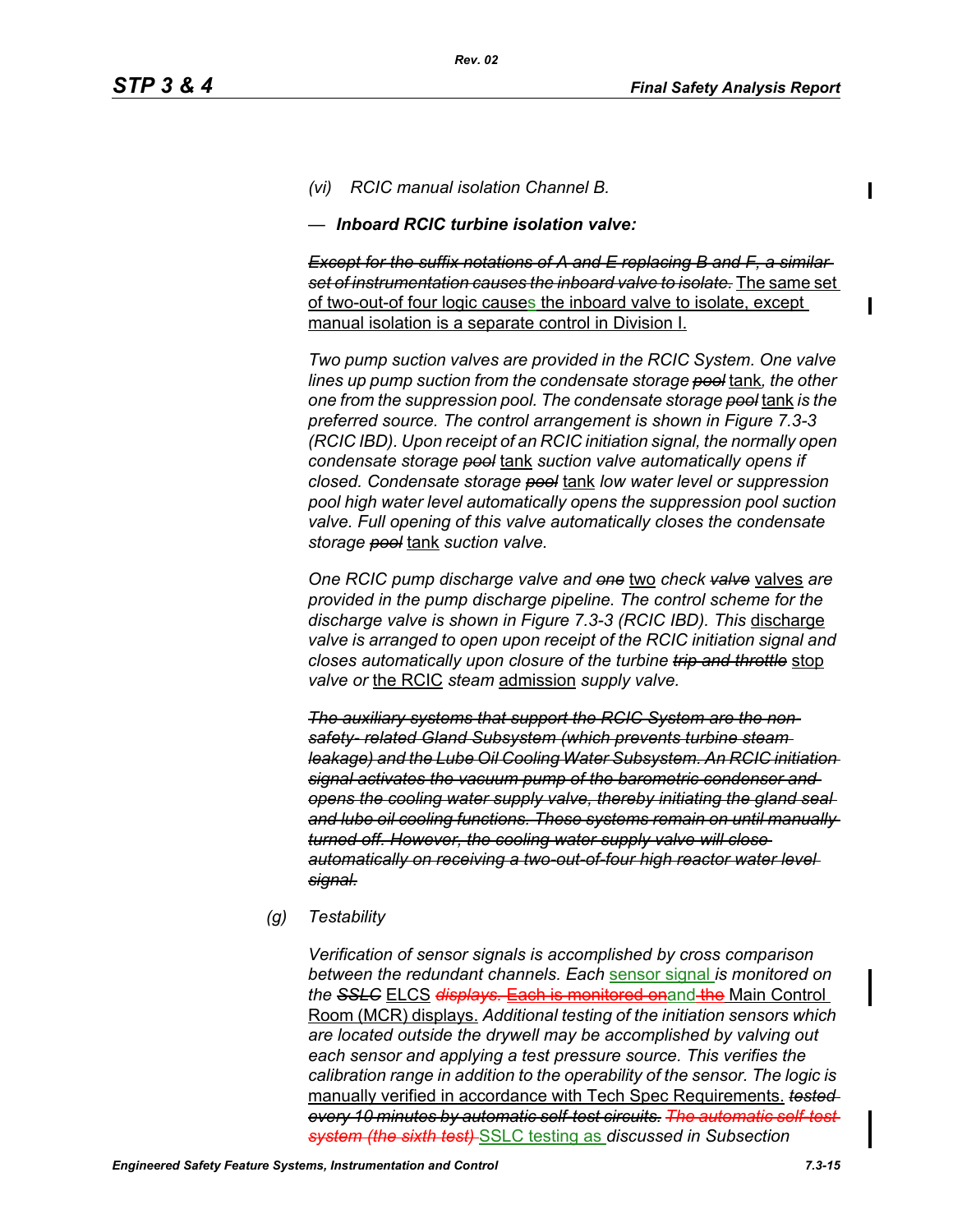*(vi) RCIC manual isolation Channel B.*

*— Inboard RCIC turbine isolation valve:*

*Except for the suffix notations of A and E replacing B and F, a similar set of instrumentation causes the inboard valve to isolate.* The same set of two-out-of four logic causes the inboard valve to isolate, except manual isolation is a separate control in Division I.

*Two pump suction valves are provided in the RCIC System. One valve lines up pump suction from the condensate storage pool* tank*, the other one from the suppression pool. The condensate storage pool* tank *is the preferred source. The control arrangement is shown in Figure 7.3-3 (RCIC IBD). Upon receipt of an RCIC initiation signal, the normally open condensate storage pool* tank *suction valve automatically opens if closed. Condensate storage pool* tank *low water level or suppression pool high water level automatically opens the suppression pool suction valve. Full opening of this valve automatically closes the condensate storage pool* tank *suction valve.*

*One RCIC pump discharge valve and one* two *check valve* valves *are provided in the pump discharge pipeline. The control scheme for the*  discharge valve is shown in Figure 7.3-3 (RCIC IBD). This discharge *valve is arranged to open upon receipt of the RCIC initiation signal and closes automatically upon closure of the turbine trip and throttle* stop *valve or* the RCIC *steam* admission *supply valve.*

*The auxiliary systems that support the RCIC System are the nonsafety- related Gland Subsystem (which prevents turbine steam leakage) and the Lube Oil Cooling Water Subsystem. An RCIC initiation signal activates the vacuum pump of the barometric condenser and opens the cooling water supply valve, thereby initiating the gland seal and lube oil cooling functions. These systems remain on until manually turned off. However, the cooling water supply valve will close automatically on receiving a two-out-of-four high reactor water level signal.*

*(g) Testability*

*Verification of sensor signals is accomplished by cross comparison between the redundant channels. Each* sensor signal *is monitored on the SSLC* ELCS *displays.* Each is monitored onand the Main Control Room (MCR) displays. *Additional testing of the initiation sensors which are located outside the drywell may be accomplished by valving out each sensor and applying a test pressure source. This verifies the calibration range in addition to the operability of the sensor. The logic is*  manually verified in accordance with Tech Spec Requirements. *tested every 10 minutes by automatic self-test circuits. The automatic self-test system (the sixth test)* SSLC testing as *discussed in Subsection*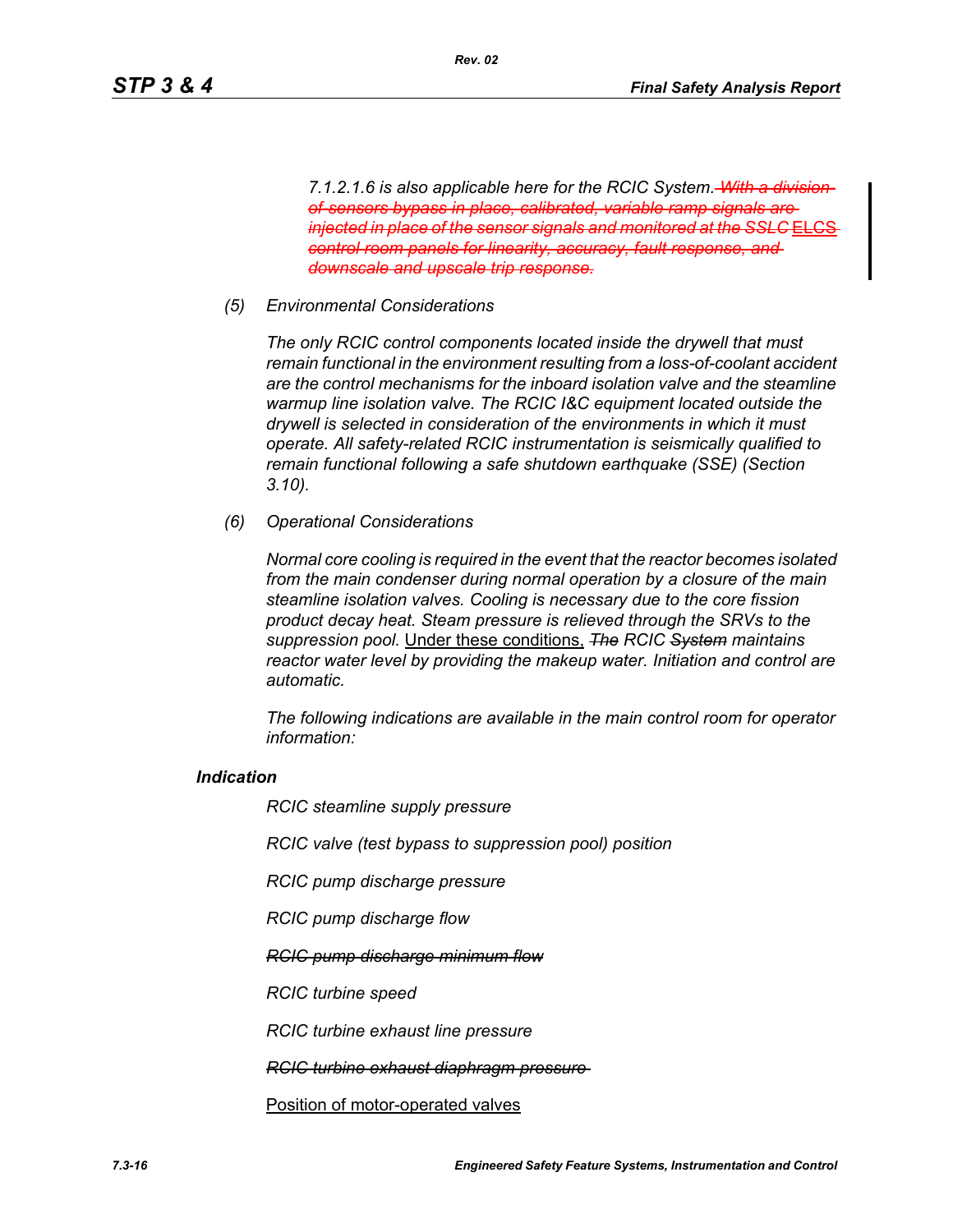*7.1.2.1.6 is also applicable here for the RCIC System. With a divisionof-sensors bypass in place, calibrated, variable ramp signals are injected in place of the sensor signals and monitored at the SSLC* EL *control room panels for linearity, accuracy, fault response, and downscale and upscale trip response.*

*Rev. 02*

*(5) Environmental Considerations*

*The only RCIC control components located inside the drywell that must remain functional in the environment resulting from a loss-of-coolant accident are the control mechanisms for the inboard isolation valve and the steamline warmup line isolation valve. The RCIC I&C equipment located outside the drywell is selected in consideration of the environments in which it must operate. All safety-related RCIC instrumentation is seismically qualified to remain functional following a safe shutdown earthquake (SSE) (Section 3.10).*

*(6) Operational Considerations*

*Normal core cooling is required in the event that the reactor becomes isolated from the main condenser during normal operation by a closure of the main steamline isolation valves. Cooling is necessary due to the core fission product decay heat. Steam pressure is relieved through the SRVs to the suppression pool.* Under these conditions, *The RCIC System maintains reactor water level by providing the makeup water. Initiation and control are automatic.*

*The following indications are available in the main control room for operator information:*

### *Indication*

*RCIC steamline supply pressure*

*RCIC valve (test bypass to suppression pool) position*

*RCIC pump discharge pressure*

*RCIC pump discharge flow*

*RCIC pump discharge minimum flow*

*RCIC turbine speed*

*RCIC turbine exhaust line pressure*

*RCIC turbine exhaust diaphragm pressure* 

Position of motor-operated valves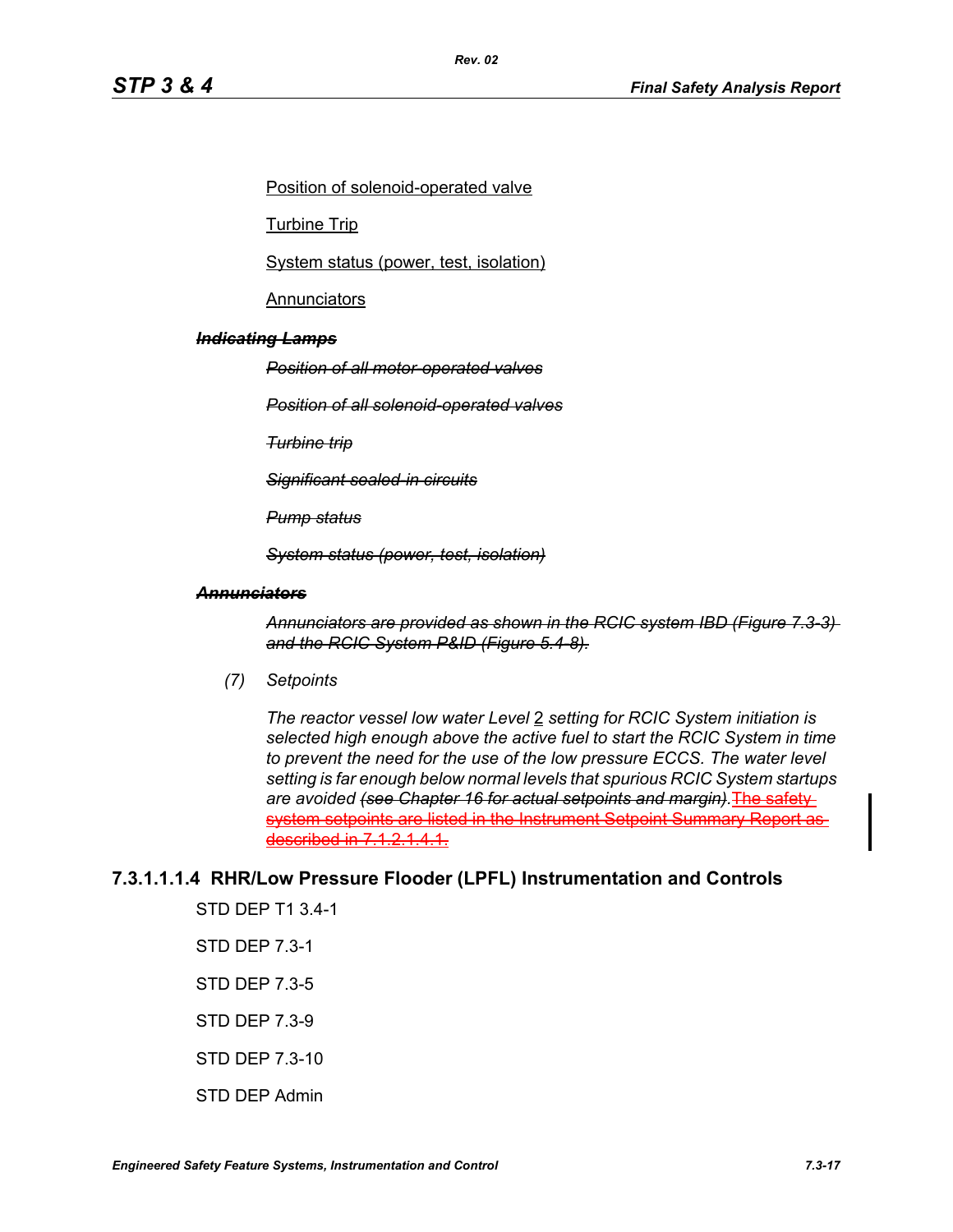Position of solenoid-operated valve

*Rev. 02*

Turbine Trip

System status (power, test, isolation)

**Annunciators** 

#### *Indicating Lamps*

*Position of all motor-operated valves*

*Position of all solenoid-operated valves*

*Turbine trip*

*Significant sealed-in circuits*

*Pump status*

*System status (power, test, isolation)*

#### *Annunciators*

*Annunciators are provided as shown in the RCIC system IBD (Figure 7.3-3) and the RCIC System P&ID (Figure 5.4-8).*

*(7) Setpoints*

*The reactor vessel low water Level* 2 *setting for RCIC System initiation is selected high enough above the active fuel to start the RCIC System in time to prevent the need for the use of the low pressure ECCS. The water level setting is far enough below normal levels that spurious RCIC System startups are avoided (see Chapter 16 for actual setpoints and margin).*The safety system setpoints are listed in the Instrument Setpoint Summary Report a described in 7.1.2.1.4.1.

### **7.3.1.1.1.4 RHR/Low Pressure Flooder (LPFL) Instrumentation and Controls**

STD DEP T1 3.4-1

STD DEP 7.3-1

STD DEP 7.3-5

STD DEP 7.3-9

STD DEP 7.3-10

STD DEP Admin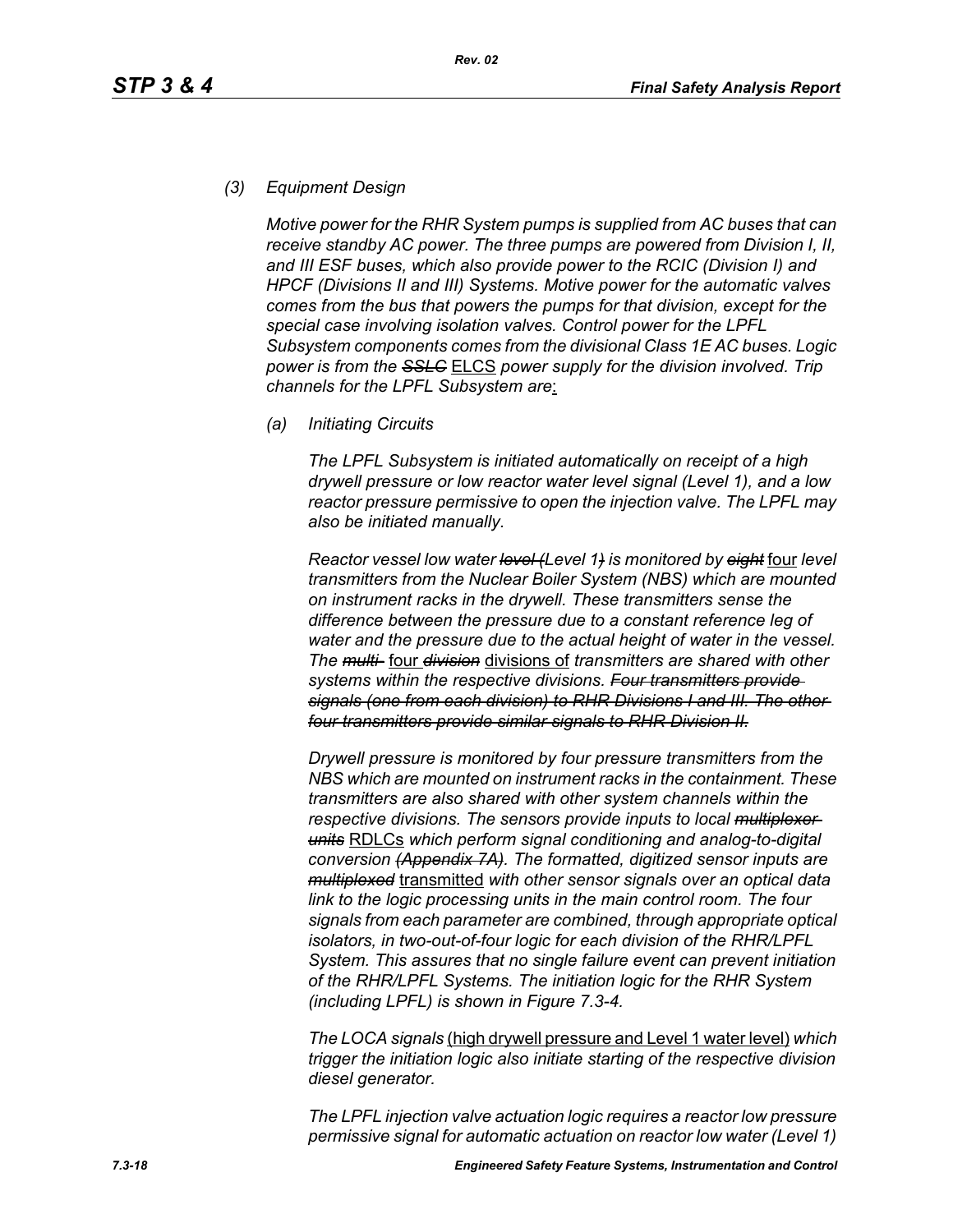#### *(3) Equipment Design*

*Motive power for the RHR System pumps is supplied from AC buses that can receive standby AC power. The three pumps are powered from Division I, II, and III ESF buses, which also provide power to the RCIC (Division I) and HPCF (Divisions II and III) Systems. Motive power for the automatic valves comes from the bus that powers the pumps for that division, except for the special case involving isolation valves. Control power for the LPFL Subsystem components comes from the divisional Class 1E AC buses. Logic power is from the SSLC* ELCS *power supply for the division involved. Trip channels for the LPFL Subsystem are*:

*(a) Initiating Circuits*

*The LPFL Subsystem is initiated automatically on receipt of a high drywell pressure or low reactor water level signal (Level 1), and a low reactor pressure permissive to open the injection valve. The LPFL may also be initiated manually.*

*Reactor vessel low water level (Level 1) is monitored by eight* four *level transmitters from the Nuclear Boiler System (NBS) which are mounted on instrument racks in the drywell. These transmitters sense the difference between the pressure due to a constant reference leg of water and the pressure due to the actual height of water in the vessel. The multi-* four *division* divisions of *transmitters are shared with other systems within the respective divisions. Four transmitters provide signals (one from each division) to RHR Divisions I and III. The other four transmitters provide similar signals to RHR Division II.*

*Drywell pressure is monitored by four pressure transmitters from the NBS which are mounted on instrument racks in the containment. These transmitters are also shared with other system channels within the respective divisions. The sensors provide inputs to local multiplexer units* RDLCs *which perform signal conditioning and analog-to-digital conversion (Appendix 7A). The formatted, digitized sensor inputs are multiplexed* transmitted *with other sensor signals over an optical data link to the logic processing units in the main control room. The four signals from each parameter are combined, through appropriate optical isolators, in two-out-of-four logic for each division of the RHR/LPFL System. This assures that no single failure event can prevent initiation of the RHR/LPFL Systems. The initiation logic for the RHR System (including LPFL) is shown in Figure 7.3-4.*

*The LOCA signals* (high drywell pressure and Level 1 water level) *which trigger the initiation logic also initiate starting of the respective division diesel generator.*

*The LPFL injection valve actuation logic requires a reactor low pressure permissive signal for automatic actuation on reactor low water (Level 1)*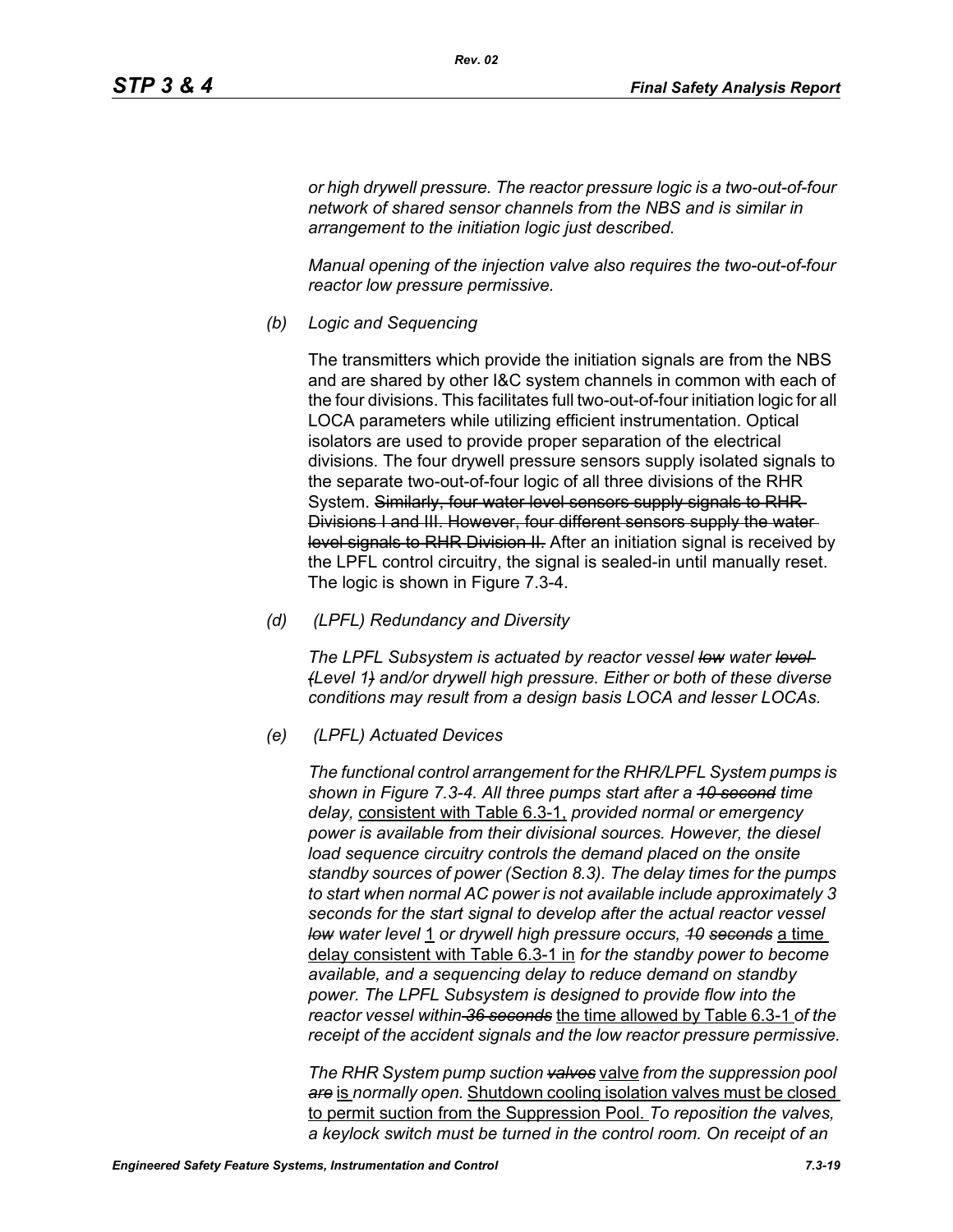*or high drywell pressure. The reactor pressure logic is a two-out-of-four network of shared sensor channels from the NBS and is similar in arrangement to the initiation logic just described.*

*Rev. 02*

*Manual opening of the injection valve also requires the two-out-of-four reactor low pressure permissive.*

*(b) Logic and Sequencing*

The transmitters which provide the initiation signals are from the NBS and are shared by other I&C system channels in common with each of the four divisions. This facilitates full two-out-of-four initiation logic for all LOCA parameters while utilizing efficient instrumentation. Optical isolators are used to provide proper separation of the electrical divisions. The four drywell pressure sensors supply isolated signals to the separate two-out-of-four logic of all three divisions of the RHR System. Similarly, four water level sensors supply signals to RHR Divisions I and III. However, four different sensors supply the water level signals to RHR Division II. After an initiation signal is received by the LPFL control circuitry, the signal is sealed-in until manually reset. The logic is shown in Figure 7.3-4.

*(d) (LPFL) Redundancy and Diversity*

*The LPFL Subsystem is actuated by reactor vessel low water level (Level 1) and/or drywell high pressure. Either or both of these diverse conditions may result from a design basis LOCA and lesser LOCAs.*

*(e) (LPFL) Actuated Devices*

*The functional control arrangement for the RHR/LPFL System pumps is shown in Figure 7.3-4. All three pumps start after a 10 second time delay,* consistent with Table 6.3-1, *provided normal or emergency power is available from their divisional sources. However, the diesel*  load sequence circuitry controls the demand placed on the onsite *standby sources of power (Section 8.3). The delay times for the pumps to start when normal AC power is not available include approximately 3 seconds for the start signal to develop after the actual reactor vessel low water level* 1 *or drywell high pressure occurs, 10 seconds* a time delay consistent with Table 6.3-1 in *for the standby power to become available, and a sequencing delay to reduce demand on standby power. The LPFL Subsystem is designed to provide flow into the reactor vessel within 36 seconds* the time allowed by Table 6.3-1 *of the receipt of the accident signals and the low reactor pressure permissive.*

*The RHR System pump suction valves* valve *from the suppression pool are* is *normally open.* Shutdown cooling isolation valves must be closed to permit suction from the Suppression Pool. *To reposition the valves, a keylock switch must be turned in the control room. On receipt of an*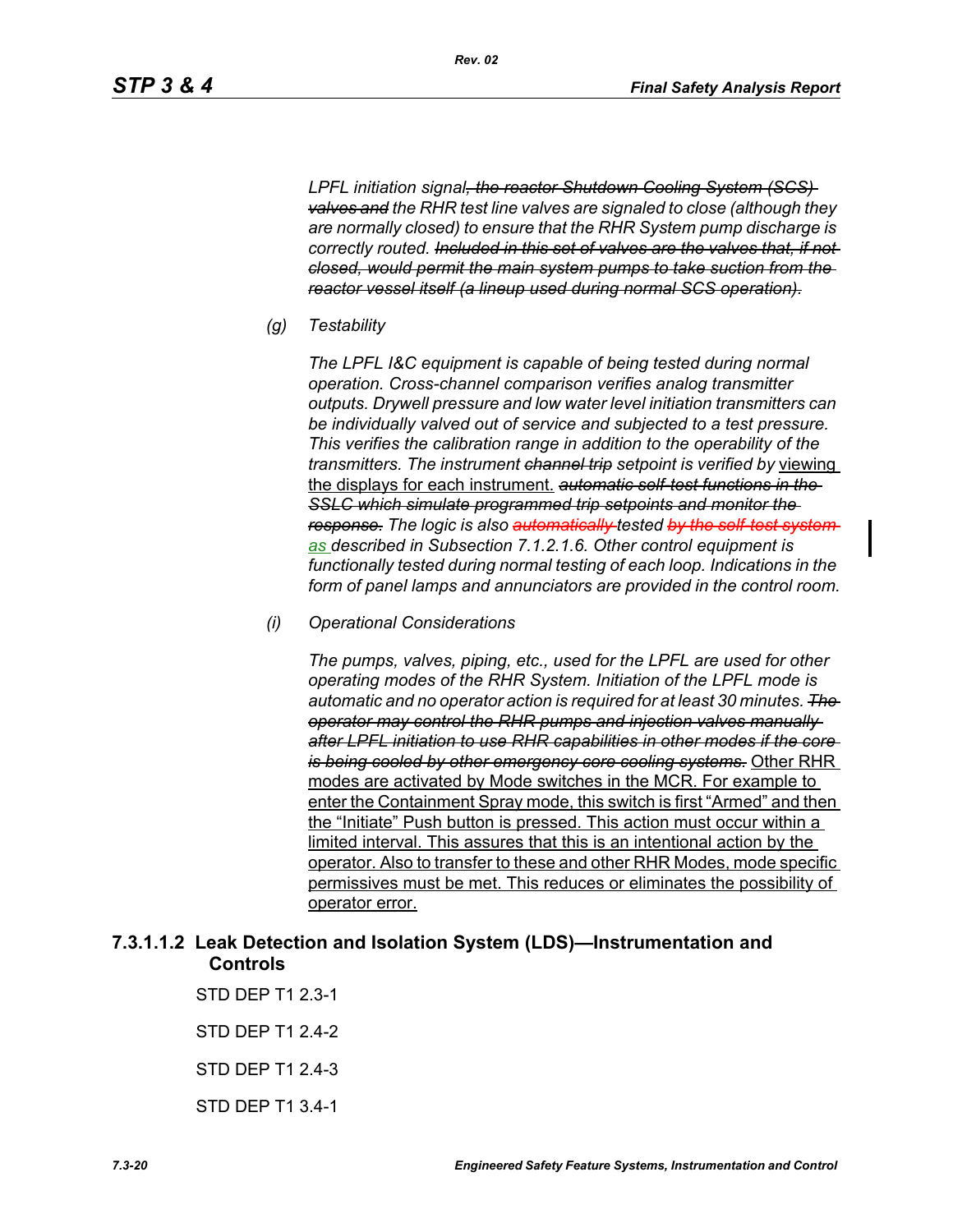*LPFL initiation signal, the reactor Shutdown Cooling System (SCS) valves and the RHR test line valves are signaled to close (although they are normally closed) to ensure that the RHR System pump discharge is correctly routed. Included in this set of valves are the valves that, if not closed, would permit the main system pumps to take suction from the reactor vessel itself (a lineup used during normal SCS operation).*

*Rev. 02*

*(g) Testability*

*The LPFL I&C equipment is capable of being tested during normal operation. Cross-channel comparison verifies analog transmitter outputs. Drywell pressure and low water level initiation transmitters can be individually valved out of service and subjected to a test pressure. This verifies the calibration range in addition to the operability of the transmitters. The instrument channel trip setpoint is verified by* viewing the displays for each instrument. *automatic self-test functions in the SSLC which simulate programmed trip setpoints and monitor the response. The logic is also automatically tested by the self-test system as described in Subsection 7.1.2.1.6. Other control equipment is functionally tested during normal testing of each loop. Indications in the form of panel lamps and annunciators are provided in the control room.*

*(i) Operational Considerations*

*The pumps, valves, piping, etc., used for the LPFL are used for other operating modes of the RHR System. Initiation of the LPFL mode is automatic and no operator action is required for at least 30 minutes. The operator may control the RHR pumps and injection valves manually after LPFL initiation to use RHR capabilities in other modes if the core is being cooled by other emergency core cooling systems.* Other RHR modes are activated by Mode switches in the MCR. For example to enter the Containment Spray mode, this switch is first "Armed" and then the "Initiate" Push button is pressed. This action must occur within a limited interval. This assures that this is an intentional action by the operator. Also to transfer to these and other RHR Modes, mode specific permissives must be met. This reduces or eliminates the possibility of operator error.

## **7.3.1.1.2 Leak Detection and Isolation System (LDS)—Instrumentation and Controls**

STD DEP T1 2.3-1 STD DEP T1 2.4-2 STD DEP T1 2.4-3 STD DEP T1 3.4-1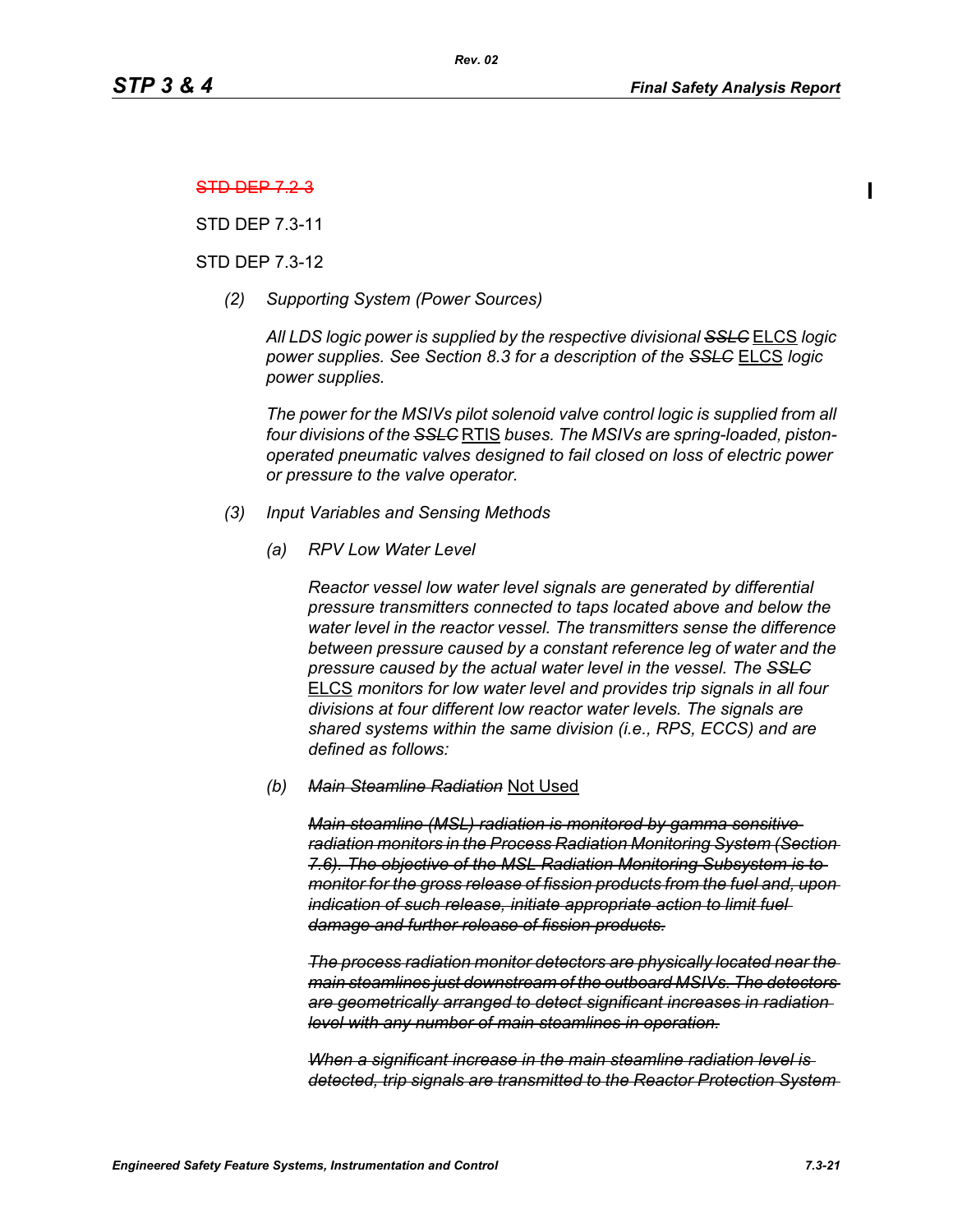#### STD DEP 7.2-3

STD DEP 7.3-11

#### STD DEP 7.3-12

*(2) Supporting System (Power Sources)*

*All LDS logic power is supplied by the respective divisional SSLC* ELCS *logic power supplies. See Section 8.3 for a description of the SSLC* ELCS *logic power supplies.*

*The power for the MSIVs pilot solenoid valve control logic is supplied from all four divisions of the SSLC* RTIS *buses. The MSIVs are spring-loaded, pistonoperated pneumatic valves designed to fail closed on loss of electric power or pressure to the valve operator.*

#### *(3) Input Variables and Sensing Methods*

*(a) RPV Low Water Level*

*Reactor vessel low water level signals are generated by differential pressure transmitters connected to taps located above and below the water level in the reactor vessel. The transmitters sense the difference between pressure caused by a constant reference leg of water and the pressure caused by the actual water level in the vessel. The SSLC* ELCS *monitors for low water level and provides trip signals in all four divisions at four different low reactor water levels. The signals are shared systems within the same division (i.e., RPS, ECCS) and are defined as follows:*

#### *(b) Main Steamline Radiation* Not Used

*Main steamline (MSL) radiation is monitored by gamma sensitive radiation monitors in the Process Radiation Monitoring System (Section 7.6). The objective of the MSL Radiation Monitoring Subsystem is to monitor for the gross release of fission products from the fuel and, upon indication of such release, initiate appropriate action to limit fuel damage and further release of fission products.*

*The process radiation monitor detectors are physically located near the main steamlines just downstream of the outboard MSIVs. The detectors are geometrically arranged to detect significant increases in radiation level with any number of main steamlines in operation.*

*When a significant increase in the main steamline radiation level is detected, trip signals are transmitted to the Reactor Protection System*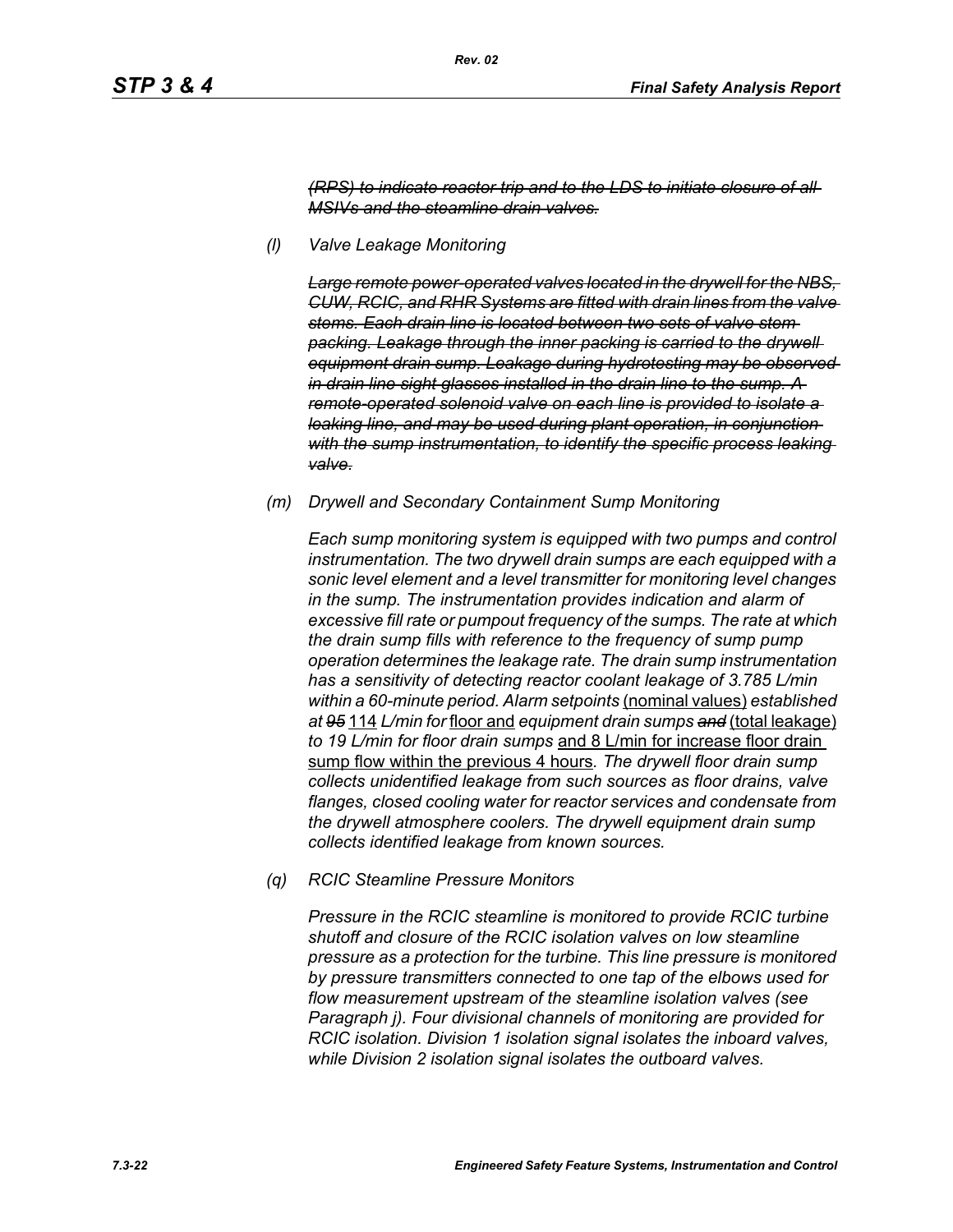*(RPS) to indicate reactor trip and to the LDS to initiate closure of all MSIVs and the steamline drain valves.*

*(l) Valve Leakage Monitoring* 

*Large remote power-operated valves located in the drywell for the NBS, CUW, RCIC, and RHR Systems are fitted with drain lines from the valve stems. Each drain line is located between two sets of valve stem packing. Leakage through the inner packing is carried to the drywell equipment drain sump. Leakage during hydrotesting may be observed in drain line sight glasses installed in the drain line to the sump. A remote-operated solenoid valve on each line is provided to isolate a leaking line, and may be used during plant operation, in conjunction*  with the sump instrumentation, to identify the specific process leaking *valve.*

*(m) Drywell and Secondary Containment Sump Monitoring* 

*Each sump monitoring system is equipped with two pumps and control instrumentation. The two drywell drain sumps are each equipped with a sonic level element and a level transmitter for monitoring level changes in the sump. The instrumentation provides indication and alarm of excessive fill rate or pumpout frequency of the sumps. The rate at which the drain sump fills with reference to the frequency of sump pump operation determines the leakage rate. The drain sump instrumentation has a sensitivity of detecting reactor coolant leakage of 3.785 L/min within a 60-minute period. Alarm setpoints* (nominal values) *established at 95* 114 *L/min for* floor and *equipment drain sumps and* (total leakage) *to 19 L/min for floor drain sumps* and 8 L/min for increase floor drain sump flow within the previous 4 hours*. The drywell floor drain sump collects unidentified leakage from such sources as floor drains, valve flanges, closed cooling water for reactor services and condensate from the drywell atmosphere coolers. The drywell equipment drain sump collects identified leakage from known sources.*

*(q) RCIC Steamline Pressure Monitors* 

*Pressure in the RCIC steamline is monitored to provide RCIC turbine shutoff and closure of the RCIC isolation valves on low steamline pressure as a protection for the turbine. This line pressure is monitored by pressure transmitters connected to one tap of the elbows used for flow measurement upstream of the steamline isolation valves (see Paragraph j). Four divisional channels of monitoring are provided for RCIC isolation. Division 1 isolation signal isolates the inboard valves, while Division 2 isolation signal isolates the outboard valves.*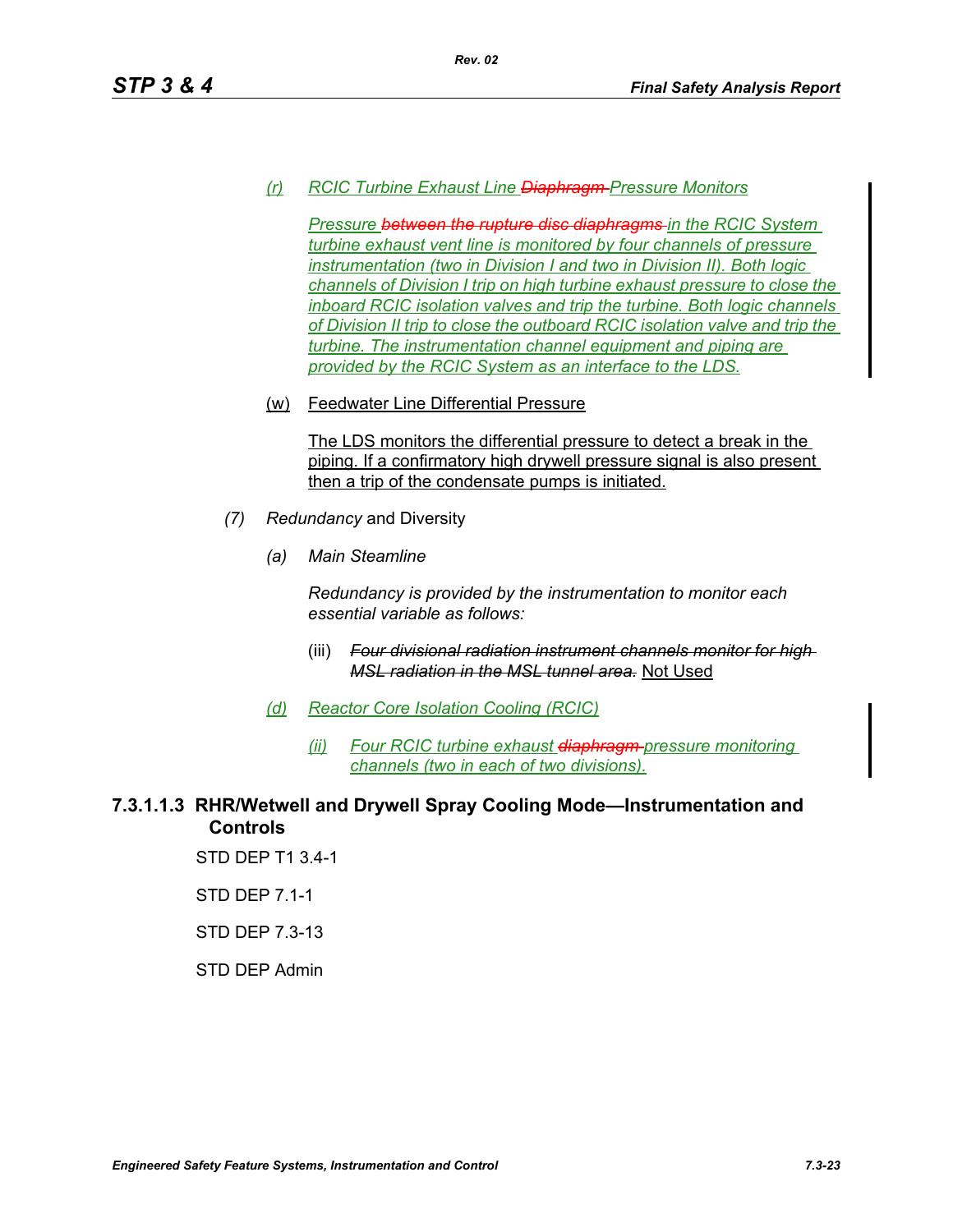## *(r) RCIC Turbine Exhaust Line Diaphragm Pressure Monitors*

*Pressure between the rupture disc diaphragms in the RCIC System turbine exhaust vent line is monitored by four channels of pressure instrumentation (two in Division I and two in Division II). Both logic channels of Division I trip on high turbine exhaust pressure to close the inboard RCIC isolation valves and trip the turbine. Both logic channels of Division II trip to close the outboard RCIC isolation valve and trip the turbine. The instrumentation channel equipment and piping are provided by the RCIC System as an interface to the LDS.*

(w) Feedwater Line Differential Pressure

The LDS monitors the differential pressure to detect a break in the piping. If a confirmatory high drywell pressure signal is also present then a trip of the condensate pumps is initiated.

- *(7) Redundancy* and Diversity
	- *(a) Main Steamline*

*Redundancy is provided by the instrumentation to monitor each essential variable as follows:*

- (iii) *Four divisional radiation instrument channels monitor for high MSL radiation in the MSL tunnel area.* Not Used
- *(d) Reactor Core Isolation Cooling (RCIC)*
	- *(ii) Four RCIC turbine exhaust diaphragm pressure monitoring channels (two in each of two divisions).*

## **7.3.1.1.3 RHR/Wetwell and Drywell Spray Cooling Mode—Instrumentation and Controls**

STD DEP T1 3.4-1

STD DEP 7.1-1

STD DEP 7.3-13

#### STD DEP Admin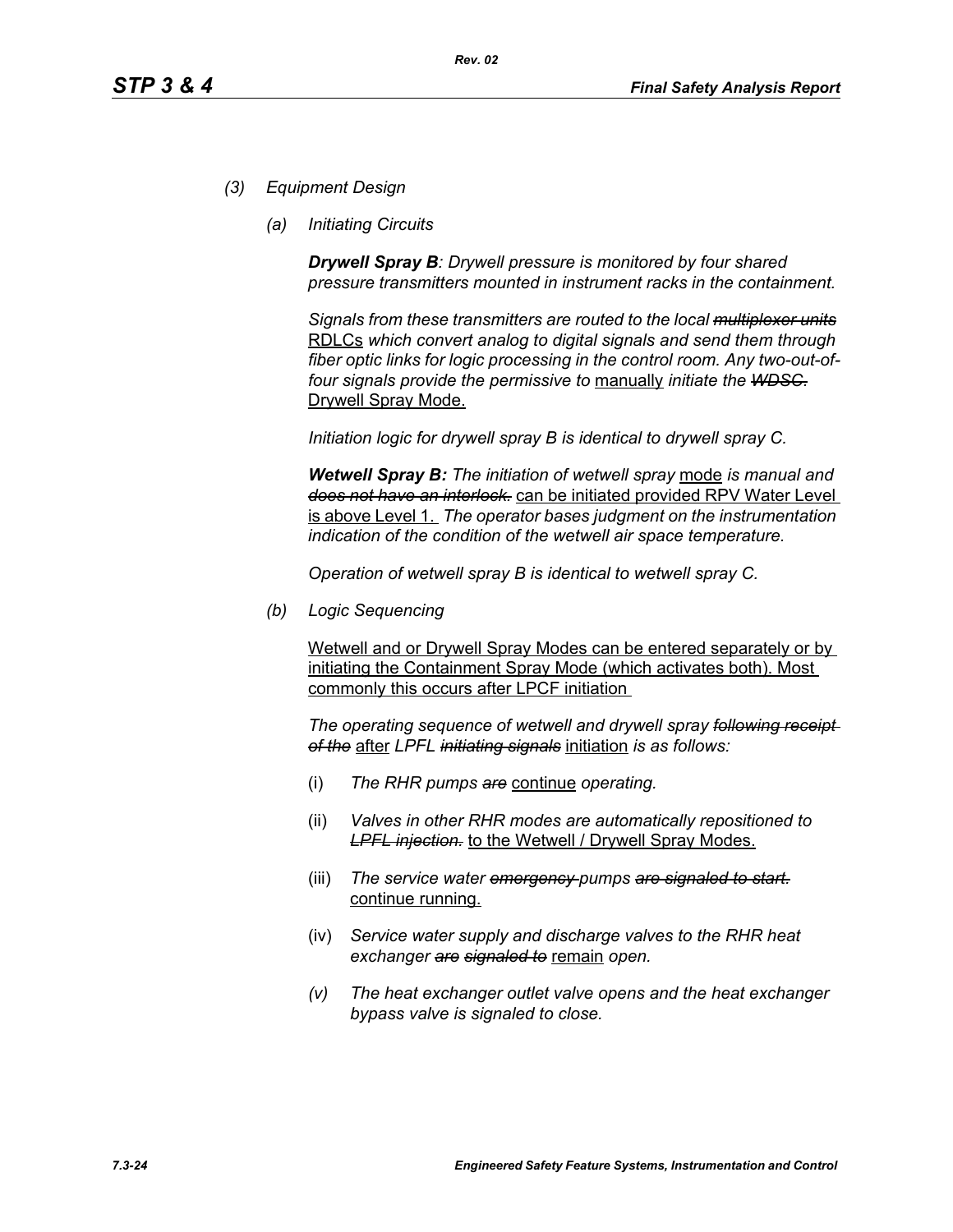- *(3) Equipment Design*
	- *(a) Initiating Circuits*

*Drywell Spray B: Drywell pressure is monitored by four shared pressure transmitters mounted in instrument racks in the containment.* 

*Signals from these transmitters are routed to the local multiplexer units* RDLCs *which convert analog to digital signals and send them through fiber optic links for logic processing in the control room. Any two-out-offour signals provide the permissive to* manually *initiate the WDSC.* Drywell Spray Mode.

*Initiation logic for drywell spray B is identical to drywell spray C.*

*Wetwell Spray B: The initiation of wetwell spray* mode *is manual and does not have an interlock.* can be initiated provided RPV Water Level is above Level 1. *The operator bases judgment on the instrumentation indication of the condition of the wetwell air space temperature.*

*Operation of wetwell spray B is identical to wetwell spray C.*

*(b) Logic Sequencing*

Wetwell and or Drywell Spray Modes can be entered separately or by initiating the Containment Spray Mode (which activates both). Most commonly this occurs after LPCF initiation

*The operating sequence of wetwell and drywell spray following receipt of the* after *LPFL initiating signals* initiation *is as follows:*

- (i) *The RHR pumps are* continue *operating.*
- (ii) *Valves in other RHR modes are automatically repositioned to LPFL injection.* to the Wetwell / Drywell Spray Modes.
- (iii) *The service water emergency pumps are signaled to start.* continue running.
- (iv) *Service water supply and discharge valves to the RHR heat exchanger are signaled to* remain *open.*
- *(v) The heat exchanger outlet valve opens and the heat exchanger bypass valve is signaled to close.*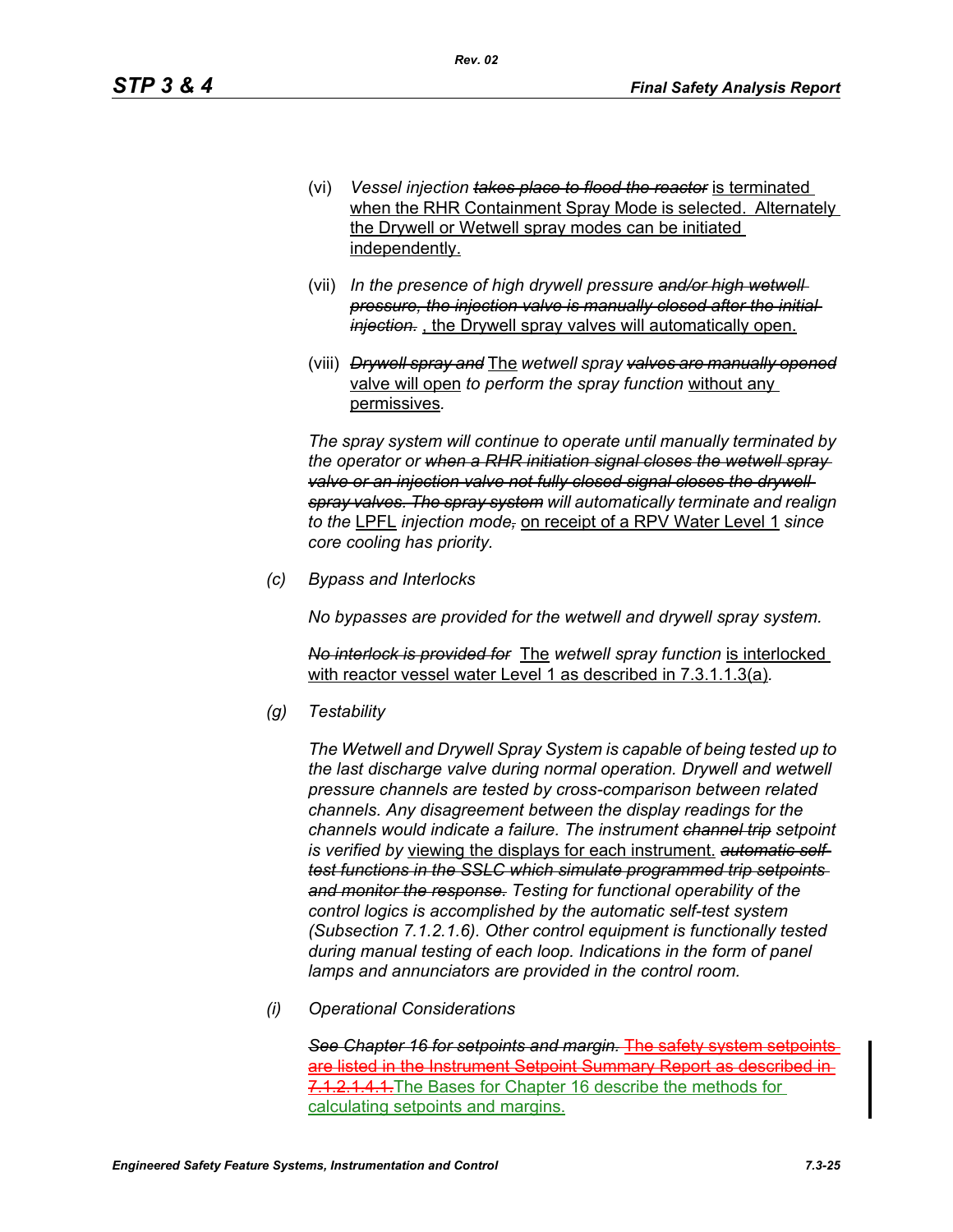(vi) *Vessel injection takes place to flood the reactor* is terminated when the RHR Containment Spray Mode is selected. Alternately the Drywell or Wetwell spray modes can be initiated independently.

*Rev. 02*

- (vii) *In the presence of high drywell pressure and/or high wetwell pressure, the injection valve is manually closed after the initial injection.* , the Drywell spray valves will automatically open.
- (viii) *Drywell spray and* The *wetwell spray valves are manually opened* valve will open *to perform the spray function* without any permissives*.*

*The spray system will continue to operate until manually terminated by the operator or when a RHR initiation signal closes the wetwell spray*  valve or an injection valve not fully closed signal closes the drywell *spray valves. The spray system will automatically terminate and realign to the* LPFL *injection mode,* on receipt of a RPV Water Level 1 *since core cooling has priority.*

*(c) Bypass and Interlocks*

*No bypasses are provided for the wetwell and drywell spray system.*

*No interlock is provided for* The *wetwell spray function* is interlocked with reactor vessel water Level 1 as described in 7.3.1.1.3(a)*.*

*(g) Testability*

*The Wetwell and Drywell Spray System is capable of being tested up to the last discharge valve during normal operation. Drywell and wetwell pressure channels are tested by cross-comparison between related channels. Any disagreement between the display readings for the channels would indicate a failure. The instrument channel trip setpoint is verified by* viewing the displays for each instrument. *automatic selftest functions in the SSLC which simulate programmed trip setpoints and monitor the response. Testing for functional operability of the control logics is accomplished by the automatic self-test system (Subsection 7.1.2.1.6). Other control equipment is functionally tested during manual testing of each loop. Indications in the form of panel lamps and annunciators are provided in the control room.*

*(i) Operational Considerations*

*See Chapter 16 for setpoints and margin.* The safety system setpoints are listed in the Instrument Setpoint Summary Report as described in 7.1.2.1.4.1. The Bases for Chapter 16 describe the methods for calculating setpoints and margins.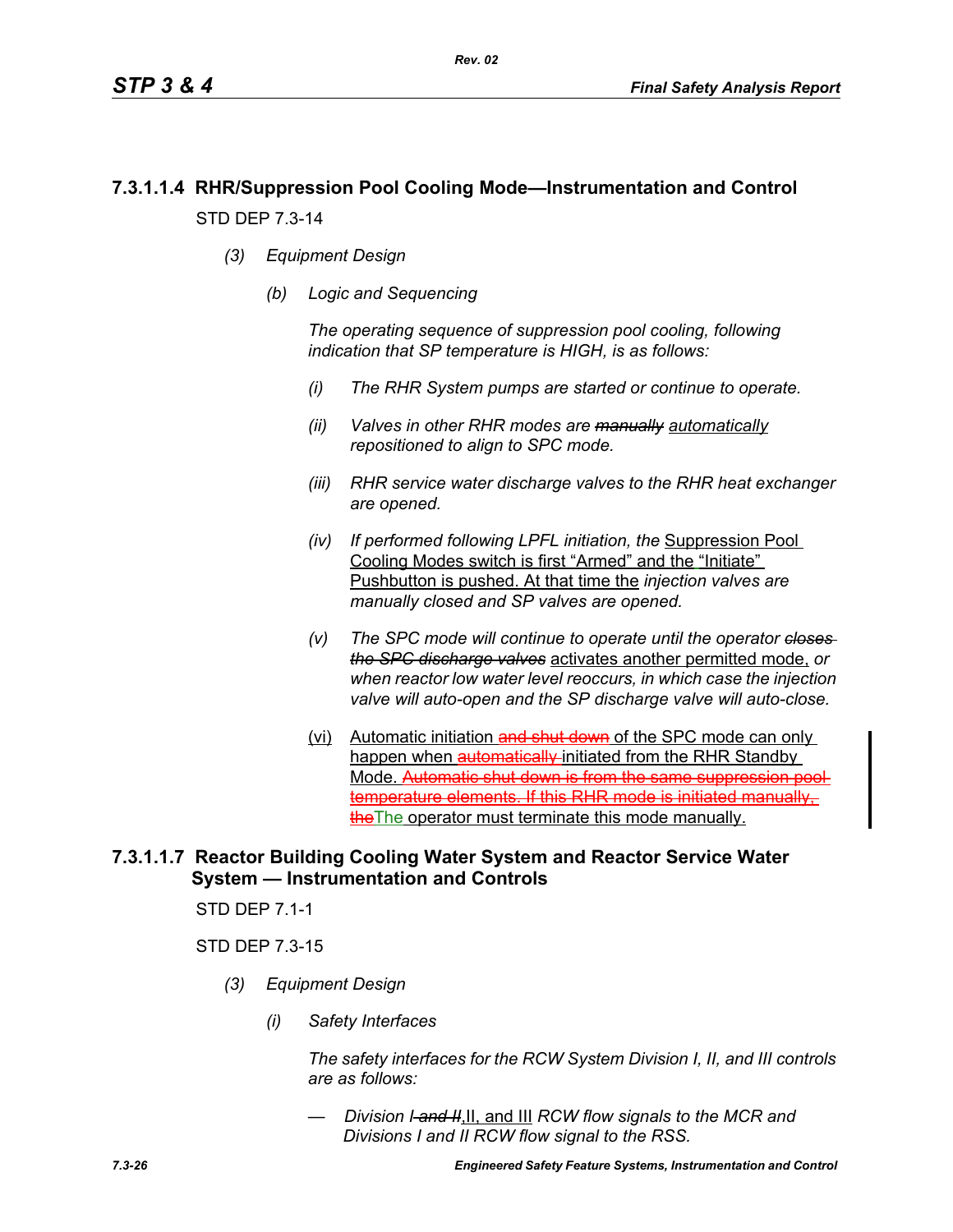# **7.3.1.1.4 RHR/Suppression Pool Cooling Mode—Instrumentation and Control** STD DEP 7.3-14

- *(3) Equipment Design*
	- *(b) Logic and Sequencing*

*The operating sequence of suppression pool cooling, following indication that SP temperature is HIGH, is as follows:*

- *(i) The RHR System pumps are started or continue to operate.*
- *(ii) Valves in other RHR modes are manually automatically repositioned to align to SPC mode.*
- *(iii) RHR service water discharge valves to the RHR heat exchanger are opened.*
- *(iv) If performed following LPFL initiation, the* Suppression Pool Cooling Modes switch is first "Armed" and the "Initiate" Pushbutton is pushed. At that time the *injection valves are manually closed and SP valves are opened.*
- *(v) The SPC mode will continue to operate until the operator closes the SPC discharge valves* activates another permitted mode, *or when reactor low water level reoccurs, in which case the injection valve will auto-open and the SP discharge valve will auto-close.*
- (vi) Automatic initiation and shut down of the SPC mode can only happen when automatically initiated from the RHR Standby Mode. Automatic shut down is from the same suppression pool temperature elements. If this RHR mode is initiated manually, theThe operator must terminate this mode manually.

## **7.3.1.1.7 Reactor Building Cooling Water System and Reactor Service Water System — Instrumentation and Controls**

STD DEP 7.1-1

STD DEP 7.3-15

- *(3) Equipment Design*
	- *(i) Safety Interfaces*

*The safety interfaces for the RCW System Division I, II, and III controls are as follows:*

*— Division I and II*,II, and III *RCW flow signals to the MCR and Divisions I and II RCW flow signal to the RSS.*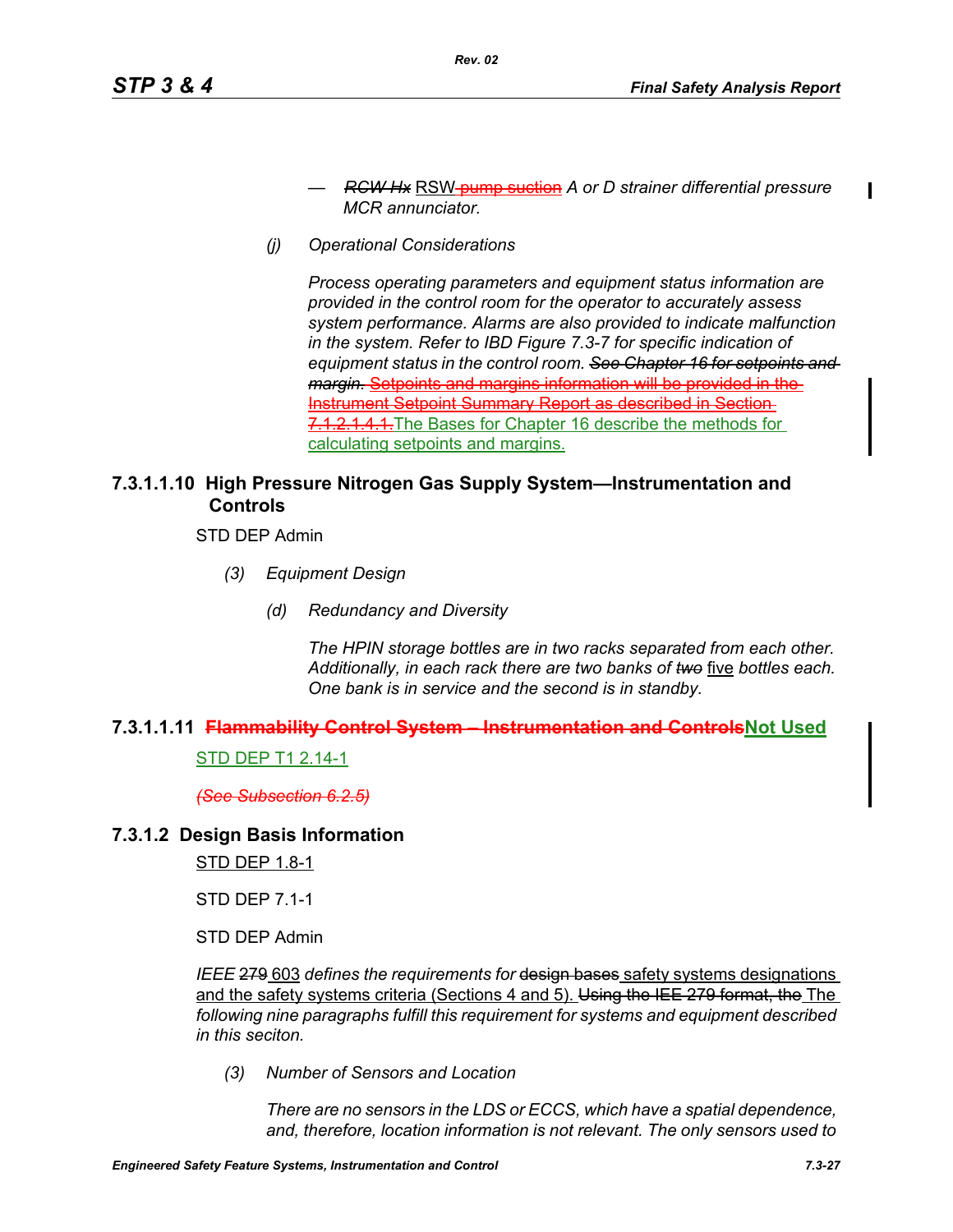- *RCW Hx* RSW pump suction *A or D strainer differential pressure MCR annunciator.*
- *(j) Operational Considerations*

*Process operating parameters and equipment status information are provided in the control room for the operator to accurately assess system performance. Alarms are also provided to indicate malfunction in the system. Refer to IBD Figure 7.3-7 for specific indication of equipment status in the control room. See Chapter 16 for setpoints and margin.* Setpoints and margins information will be provided in the Instrument Setpoint Summary Report as described in Section 7.1.2.1.4.1. The Bases for Chapter 16 describe the methods for calculating setpoints and margins.

## **7.3.1.1.10 High Pressure Nitrogen Gas Supply System—Instrumentation and Controls**

STD DEP Admin

- *(3) Equipment Design*
	- *(d) Redundancy and Diversity*

*The HPIN storage bottles are in two racks separated from each other. Additionally, in each rack there are two banks of two* five *bottles each. One bank is in service and the second is in standby.*

#### **7.3.1.1.11 Flammability Control System – Instrumentation and ControlsNot Used**

STD DEP T1 2.14-1

*(See Subsection 6.2.5)*

#### **7.3.1.2 Design Basis Information**

STD DEP 1.8-1

STD DEP 7.1-1

STD DEP Admin

*IEEE* 279 603 *defines the requirements for* design bases safety systems designations and the safety systems criteria (Sections 4 and 5). Using the IEE 279 format, the The *following nine paragraphs fulfill this requirement for systems and equipment described in this seciton.*

*(3) Number of Sensors and Location*

*There are no sensors in the LDS or ECCS, which have a spatial dependence, and, therefore, location information is not relevant. The only sensors used to*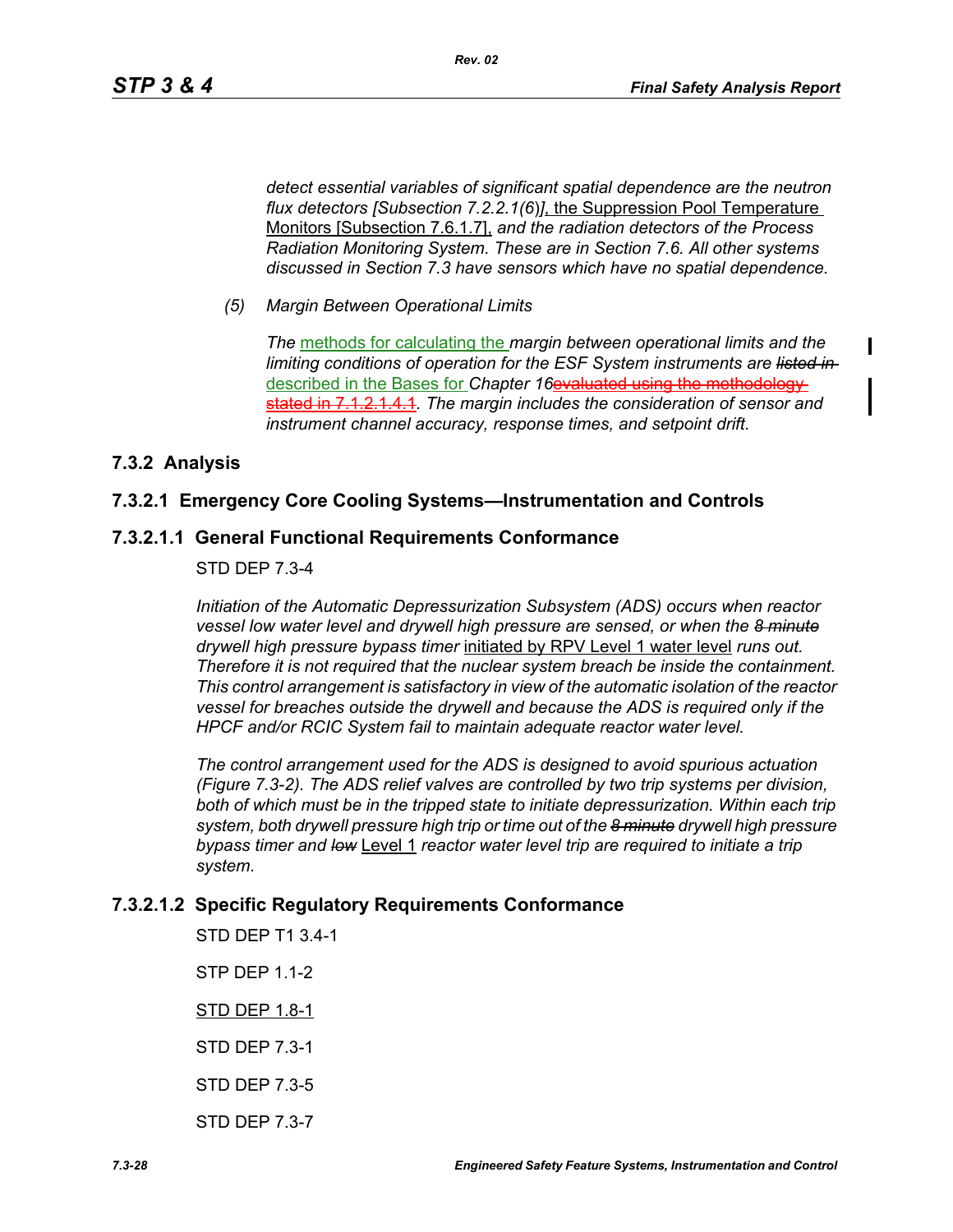Ι

*detect essential variables of significant spatial dependence are the neutron flux detectors [Subsection 7.2.2.1(6*)*]*, the Suppression Pool Temperature Monitors [Subsection 7.6.1.7], *and the radiation detectors of the Process Radiation Monitoring System. These are in Section 7.6. All other systems discussed in Section 7.3 have sensors which have no spatial dependence.*

*(5) Margin Between Operational Limits*

*The* methods for calculating the *margin between operational limits and the limiting conditions of operation for the ESF System instruments are listed in*  described in the Bases for *Chapter 16*evaluated using the methodology stated in 7.1.2.1.4.1*. The margin includes the consideration of sensor and instrument channel accuracy, response times, and setpoint drift.*

## **7.3.2 Analysis**

## **7.3.2.1 Emergency Core Cooling Systems—Instrumentation and Controls**

## **7.3.2.1.1 General Functional Requirements Conformance**

## STD DEP 7.3-4

*Initiation of the Automatic Depressurization Subsystem (ADS) occurs when reactor vessel low water level and drywell high pressure are sensed, or when the 8 minute drywell high pressure bypass timer* initiated by RPV Level 1 water level *runs out. Therefore it is not required that the nuclear system breach be inside the containment. This control arrangement is satisfactory in view of the automatic isolation of the reactor vessel for breaches outside the drywell and because the ADS is required only if the HPCF and/or RCIC System fail to maintain adequate reactor water level.*

*The control arrangement used for the ADS is designed to avoid spurious actuation (Figure 7.3-2). The ADS relief valves are controlled by two trip systems per division,*  both of which must be in the tripped state to initiate depressurization. Within each trip *system, both drywell pressure high trip or time out of the 8 minute drywell high pressure bypass timer and low* Level 1 *reactor water level trip are required to initiate a trip system.*

## **7.3.2.1.2 Specific Regulatory Requirements Conformance**

STD DEP T1 3.4-1 STP DEP 1.1-2 STD DEP 1.8-1 STD DEP 7.3-1 STD DEP 7.3-5 STD DEP 7.3-7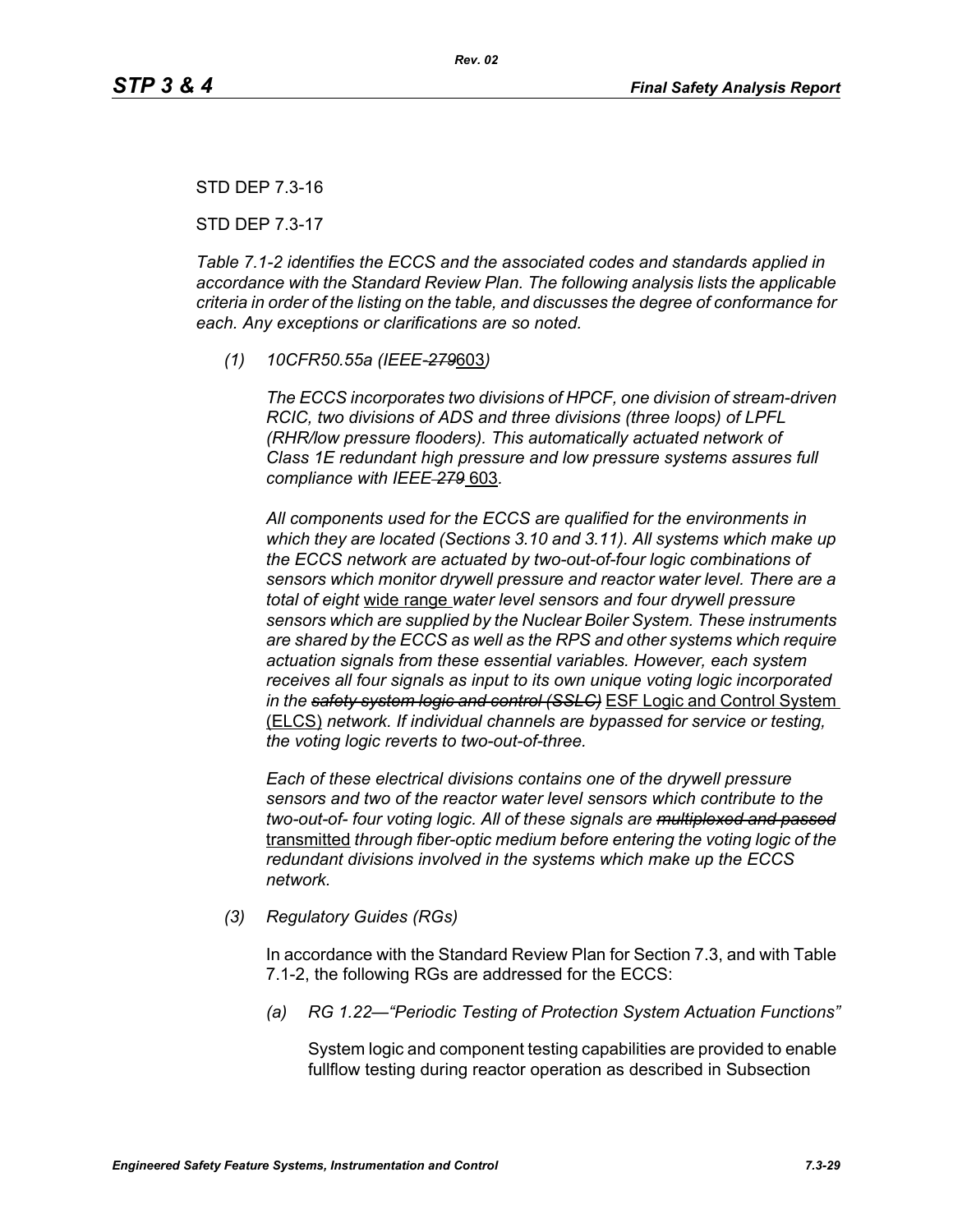STD DEP 7.3-16

STD DEP 7.3-17

*Table 7.1-2 identifies the ECCS and the associated codes and standards applied in accordance with the Standard Review Plan. The following analysis lists the applicable criteria in order of the listing on the table, and discusses the degree of conformance for each. Any exceptions or clarifications are so noted.*

*(1) 10CFR50.55a (IEEE-279*603*)*

*The ECCS incorporates two divisions of HPCF, one division of stream-driven RCIC, two divisions of ADS and three divisions (three loops) of LPFL (RHR/low pressure flooders). This automatically actuated network of Class 1E redundant high pressure and low pressure systems assures full compliance with IEEE 279* 603*.*

*All components used for the ECCS are qualified for the environments in which they are located (Sections 3.10 and 3.11). All systems which make up the ECCS network are actuated by two-out-of-four logic combinations of sensors which monitor drywell pressure and reactor water level. There are a total of eight* wide range *water level sensors and four drywell pressure sensors which are supplied by the Nuclear Boiler System. These instruments are shared by the ECCS as well as the RPS and other systems which require actuation signals from these essential variables. However, each system receives all four signals as input to its own unique voting logic incorporated in the safety system logic and control (SSLC)* ESF Logic and Control System (ELCS) *network. If individual channels are bypassed for service or testing, the voting logic reverts to two-out-of-three.*

*Each of these electrical divisions contains one of the drywell pressure sensors and two of the reactor water level sensors which contribute to the two-out-of- four voting logic. All of these signals are multiplexed and passed* transmitted *through fiber-optic medium before entering the voting logic of the redundant divisions involved in the systems which make up the ECCS network.* 

*(3) Regulatory Guides (RGs)*

In accordance with the Standard Review Plan for Section 7.3, and with Table 7.1-2, the following RGs are addressed for the ECCS:

*(a) RG 1.22—"Periodic Testing of Protection System Actuation Functions"*

System logic and component testing capabilities are provided to enable fullflow testing during reactor operation as described in Subsection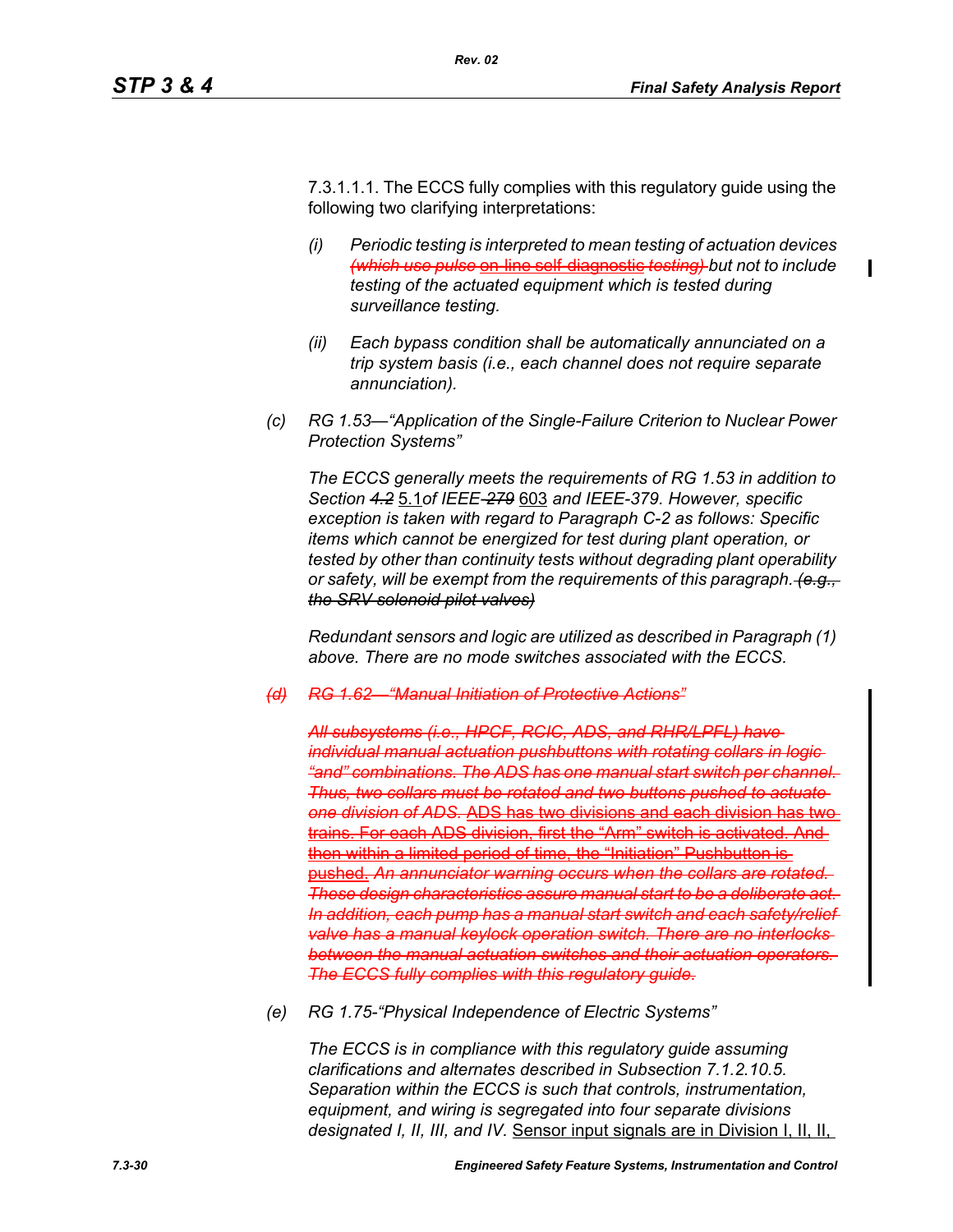7.3.1.1.1. The ECCS fully complies with this regulatory guide using the following two clarifying interpretations:

*Rev. 02*

- *(i) Periodic testing is interpreted to mean testing of actuation devices (which use pulse* on-line self-diagnostic *testing) but not to include testing of the actuated equipment which is tested during surveillance testing.*
- *(ii) Each bypass condition shall be automatically annunciated on a trip system basis (i.e., each channel does not require separate annunciation).*
- *(c) RG 1.53—"Application of the Single-Failure Criterion to Nuclear Power Protection Systems"*

*The ECCS generally meets the requirements of RG 1.53 in addition to Section 4.2* 5.1*of IEEE-279* 603 *and IEEE-379. However, specific exception is taken with regard to Paragraph C-2 as follows: Specific items which cannot be energized for test during plant operation, or tested by other than continuity tests without degrading plant operability or safety, will be exempt from the requirements of this paragraph. (e.g., the SRV solenoid pilot valves)*

*Redundant sensors and logic are utilized as described in Paragraph (1) above. There are no mode switches associated with the ECCS.*

*(d) RG 1.62—"Manual Initiation of Protective Actions"*

*All subsystems (i.e., HPCF, RCIC, ADS, and RHR/LPFL) have individual manual actuation pushbuttons with rotating collars in logic "and" combinations. The ADS has one manual start switch per channel. Thus, two collars must be rotated and two buttons pushed to actuate one division of ADS.* ADS has two divisions and each division has two trains. For each ADS division, first the "Arm" switch is activated. And then within a limited period of time, the "Initiation" Pushbutton is pushed. An annunciator warning occurs when the collars are rotat *These design characteristics assure manual start to be a deliberate act. In addition, each pump has a manual start switch and each safety/relief valve has a manual keylock operation switch. There are no interlocks between the manual actuation switches and their actuation operators. The ECCS fully complies with this regulatory guide.*

*(e) RG 1.75-"Physical Independence of Electric Systems"*

*The ECCS is in compliance with this regulatory guide assuming clarifications and alternates described in Subsection 7.1.2.10.5. Separation within the ECCS is such that controls, instrumentation, equipment, and wiring is segregated into four separate divisions designated I, II, III, and IV.* Sensor input signals are in Division I, II, II,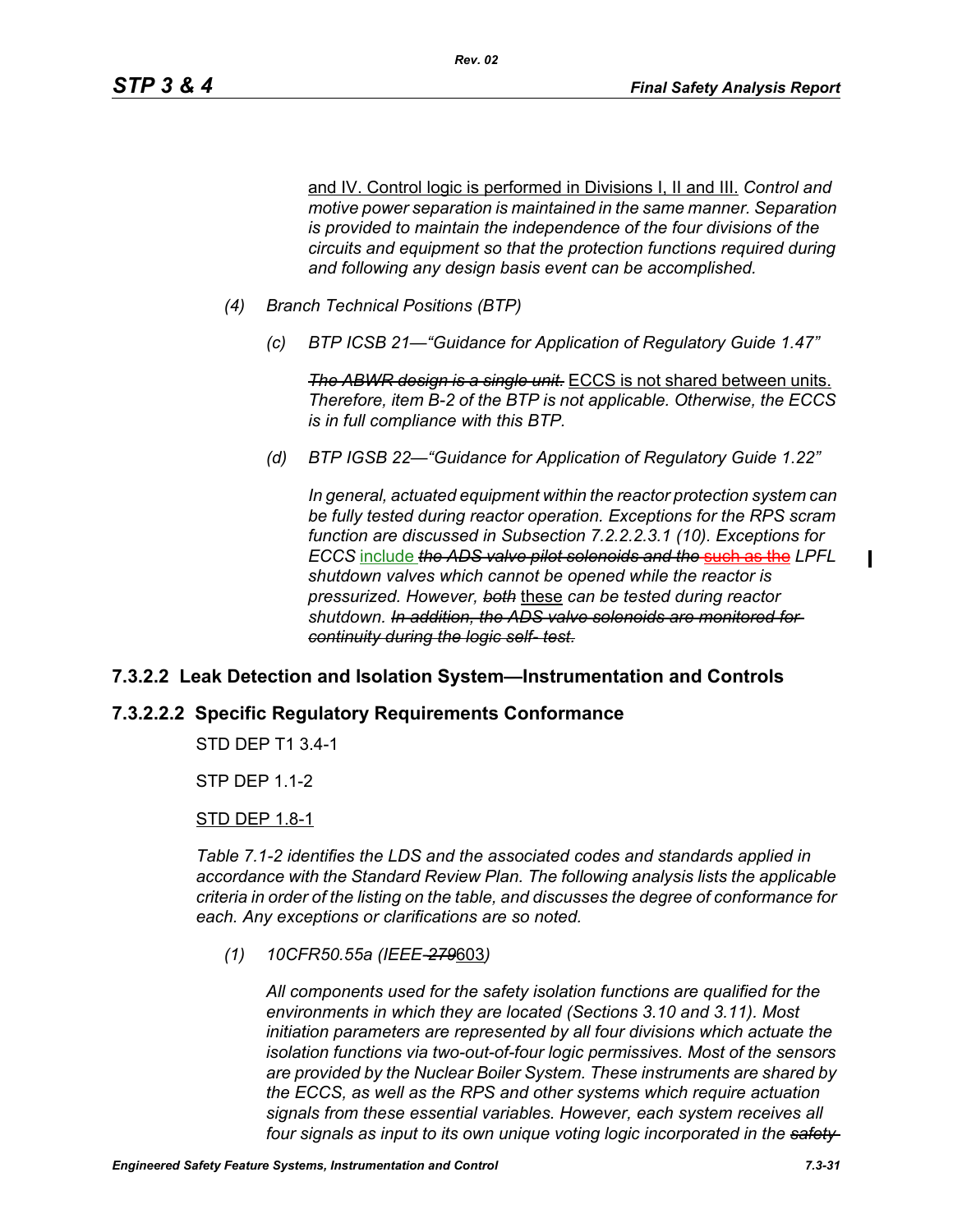and IV. Control logic is performed in Divisions I, II and III. *Control and motive power separation is maintained in the same manner. Separation is provided to maintain the independence of the four divisions of the circuits and equipment so that the protection functions required during and following any design basis event can be accomplished.*

- *(4) Branch Technical Positions (BTP)*
	- *(c) BTP ICSB 21—"Guidance for Application of Regulatory Guide 1.47"*

*Rev. 02*

*The ABWR design is a single unit.* ECCS is not shared between units. *Therefore, item B-2 of the BTP is not applicable. Otherwise, the ECCS is in full compliance with this BTP.*

*(d) BTP IGSB 22—"Guidance for Application of Regulatory Guide 1.22"*

*In general, actuated equipment within the reactor protection system can be fully tested during reactor operation. Exceptions for the RPS scram function are discussed in Subsection 7.2.2.2.3.1 (10). Exceptions for ECCS* include *the ADS valve pilot solenoids and the* such as the *LPFL shutdown valves which cannot be opened while the reactor is pressurized. However, both* these *can be tested during reactor shutdown. In addition, the ADS valve solenoids are monitored for continuity during the logic self- test.*

## **7.3.2.2 Leak Detection and Isolation System—Instrumentation and Controls**

### **7.3.2.2.2 Specific Regulatory Requirements Conformance**

STD DEP T1 3.4-1

STP DEP 1.1-2

#### STD DEP 1.8-1

*Table 7.1-2 identifies the LDS and the associated codes and standards applied in accordance with the Standard Review Plan. The following analysis lists the applicable criteria in order of the listing on the table, and discusses the degree of conformance for each. Any exceptions or clarifications are so noted.*

*(1) 10CFR50.55a (IEEE-279*603*)*

*All components used for the safety isolation functions are qualified for the environments in which they are located (Sections 3.10 and 3.11). Most initiation parameters are represented by all four divisions which actuate the isolation functions via two-out-of-four logic permissives. Most of the sensors are provided by the Nuclear Boiler System. These instruments are shared by the ECCS, as well as the RPS and other systems which require actuation signals from these essential variables. However, each system receives all four signals as input to its own unique voting logic incorporated in the safety*   $\mathbf I$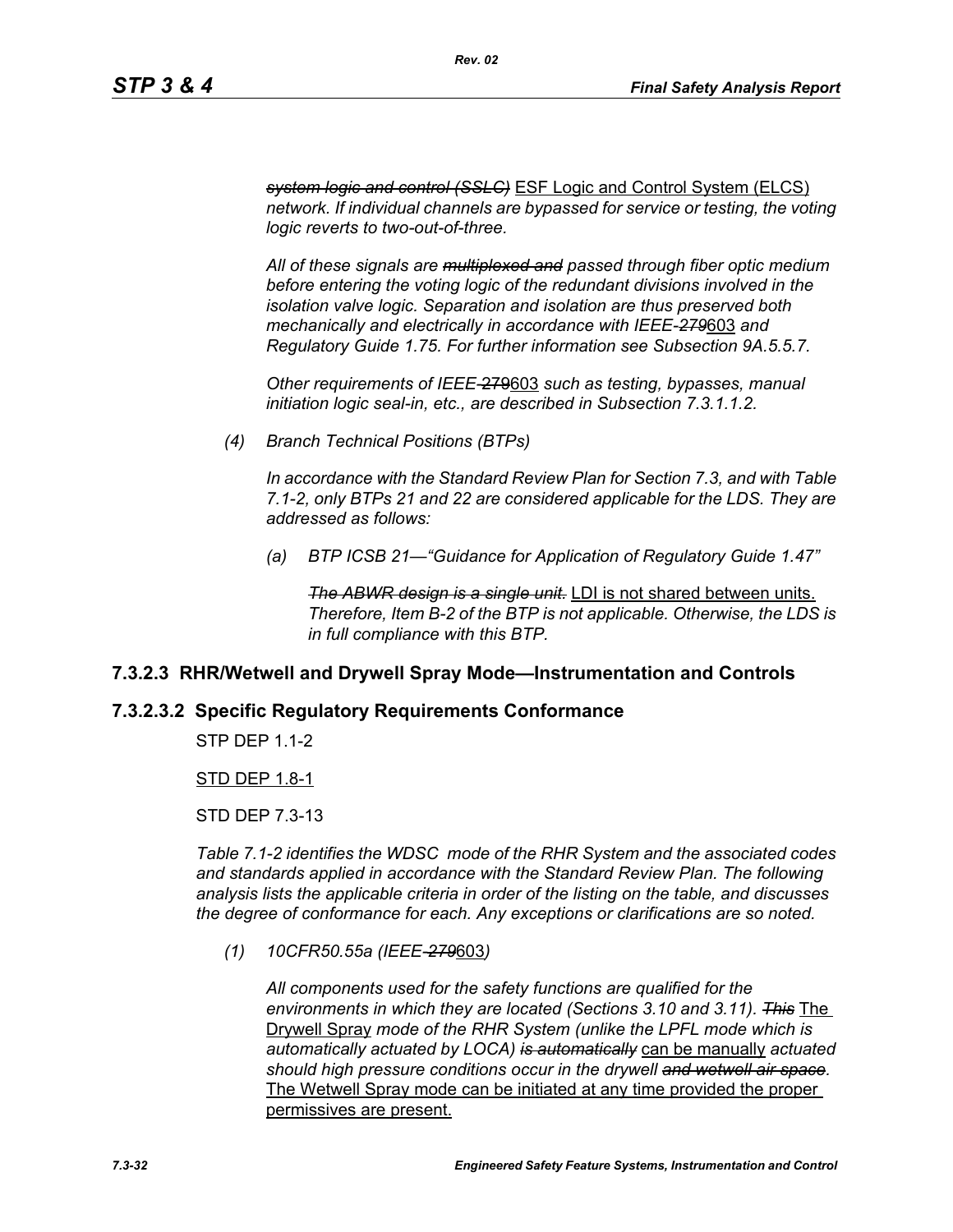*system logic and control (SSLC)* ESF Logic and Control System (ELCS) *network. If individual channels are bypassed for service or testing, the voting logic reverts to two-out-of-three.*

*All of these signals are multiplexed and passed through fiber optic medium before entering the voting logic of the redundant divisions involved in the isolation valve logic. Separation and isolation are thus preserved both mechanically and electrically in accordance with IEEE-279*603 *and Regulatory Guide 1.75. For further information see Subsection 9A.5.5.7.*

*Other requirements of IEEE-*279603 *such as testing, bypasses, manual initiation logic seal-in, etc., are described in Subsection 7.3.1.1.2.*

*(4) Branch Technical Positions (BTPs)*

*In accordance with the Standard Review Plan for Section 7.3, and with Table 7.1-2, only BTPs 21 and 22 are considered applicable for the LDS. They are addressed as follows:*

*(a) BTP ICSB 21—"Guidance for Application of Regulatory Guide 1.47"*

*The ABWR design is a single unit.* LDI is not shared between units. *Therefore, Item B-2 of the BTP is not applicable. Otherwise, the LDS is in full compliance with this BTP.*

#### **7.3.2.3 RHR/Wetwell and Drywell Spray Mode—Instrumentation and Controls**

#### **7.3.2.3.2 Specific Regulatory Requirements Conformance**

**STP DFP 11-2** 

#### STD DEP 1.8-1

STD DEP 7.3-13

*Table 7.1-2 identifies the WDSC mode of the RHR System and the associated codes and standards applied in accordance with the Standard Review Plan. The following analysis lists the applicable criteria in order of the listing on the table, and discusses the degree of conformance for each. Any exceptions or clarifications are so noted.*

*(1) 10CFR50.55a (IEEE-279*603*)*

*All components used for the safety functions are qualified for the environments in which they are located (Sections 3.10 and 3.11). This* The Drywell Spray *mode of the RHR System (unlike the LPFL mode which is automatically actuated by LOCA) is automatically* can be manually *actuated should high pressure conditions occur in the drywell and wetwell air space.* The Wetwell Spray mode can be initiated at any time provided the proper permissives are present.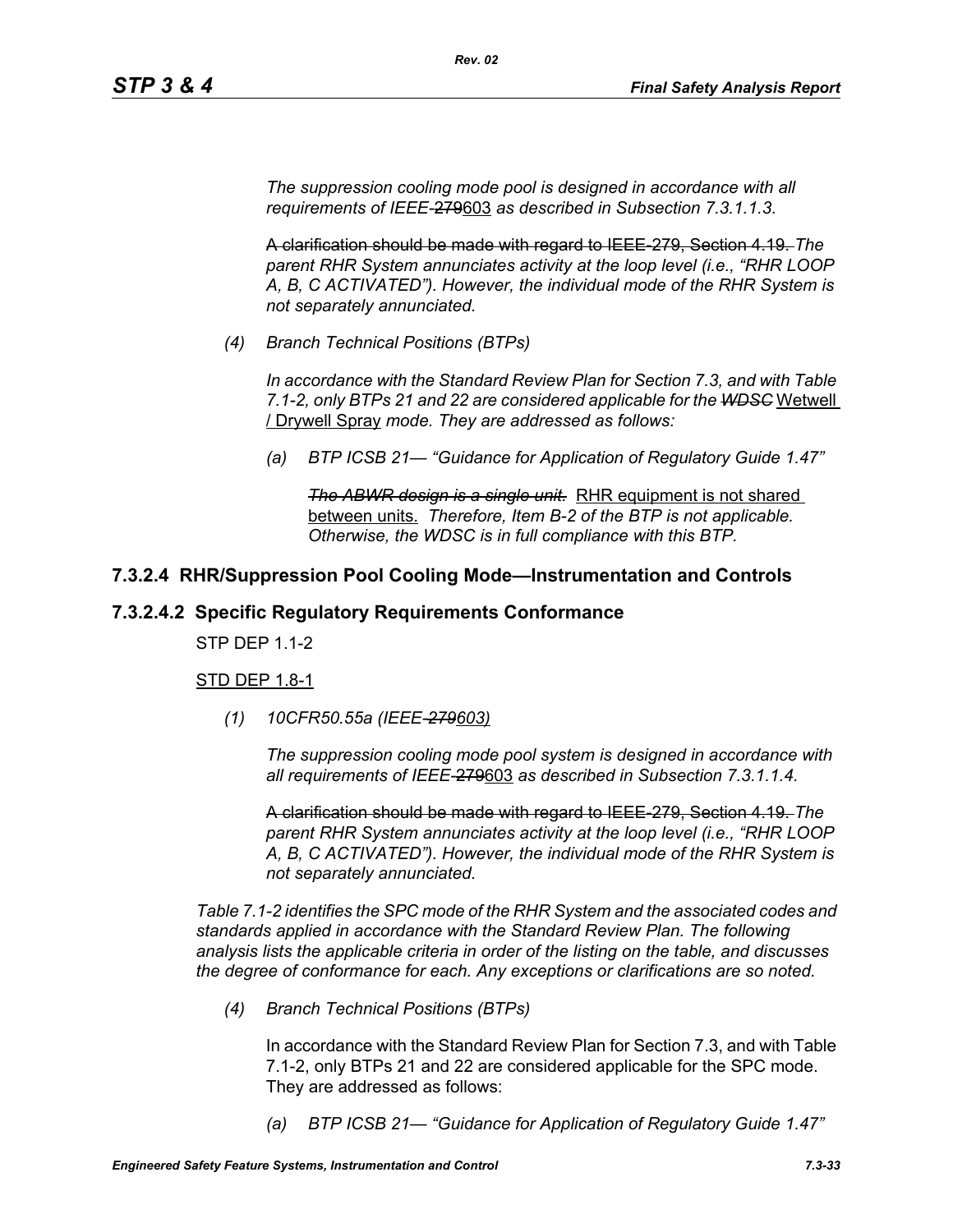*The suppression cooling mode pool is designed in accordance with all requirements of IEEE-*279603 *as described in Subsection 7.3.1.1.3.*

*Rev. 02*

A clarification should be made with regard to IEEE-279, Section 4.19. *The parent RHR System annunciates activity at the loop level (i.e., "RHR LOOP A, B, C ACTIVATED"). However, the individual mode of the RHR System is not separately annunciated.*

*(4) Branch Technical Positions (BTPs)*

*In accordance with the Standard Review Plan for Section 7.3, and with Table 7.1-2, only BTPs 21 and 22 are considered applicable for the WDSC* Wetwell / Drywell Spray *mode. They are addressed as follows:*

*(a) BTP ICSB 21— "Guidance for Application of Regulatory Guide 1.47"*

*The ABWR design is a single unit.* RHR equipment is not shared between units. *Therefore, Item B-2 of the BTP is not applicable. Otherwise, the WDSC is in full compliance with this BTP.*

## **7.3.2.4 RHR/Suppression Pool Cooling Mode—Instrumentation and Controls**

## **7.3.2.4.2 Specific Regulatory Requirements Conformance**

STP DEP 1.1-2

### **STD DEP 1.8-1**

*(1) 10CFR50.55a (IEEE-279603)*

*The suppression cooling mode pool system is designed in accordance with all requirements of IEEE-*279603 *as described in Subsection 7.3.1.1.4.*

A clarification should be made with regard to IEEE-279, Section 4.19. *The parent RHR System annunciates activity at the loop level (i.e., "RHR LOOP A, B, C ACTIVATED"). However, the individual mode of the RHR System is not separately annunciated.*

*Table 7.1-2 identifies the SPC mode of the RHR System and the associated codes and standards applied in accordance with the Standard Review Plan. The following analysis lists the applicable criteria in order of the listing on the table, and discusses the degree of conformance for each. Any exceptions or clarifications are so noted.*

*(4) Branch Technical Positions (BTPs)*

In accordance with the Standard Review Plan for Section 7.3, and with Table 7.1-2, only BTPs 21 and 22 are considered applicable for the SPC mode. They are addressed as follows:

*(a) BTP ICSB 21— "Guidance for Application of Regulatory Guide 1.47"*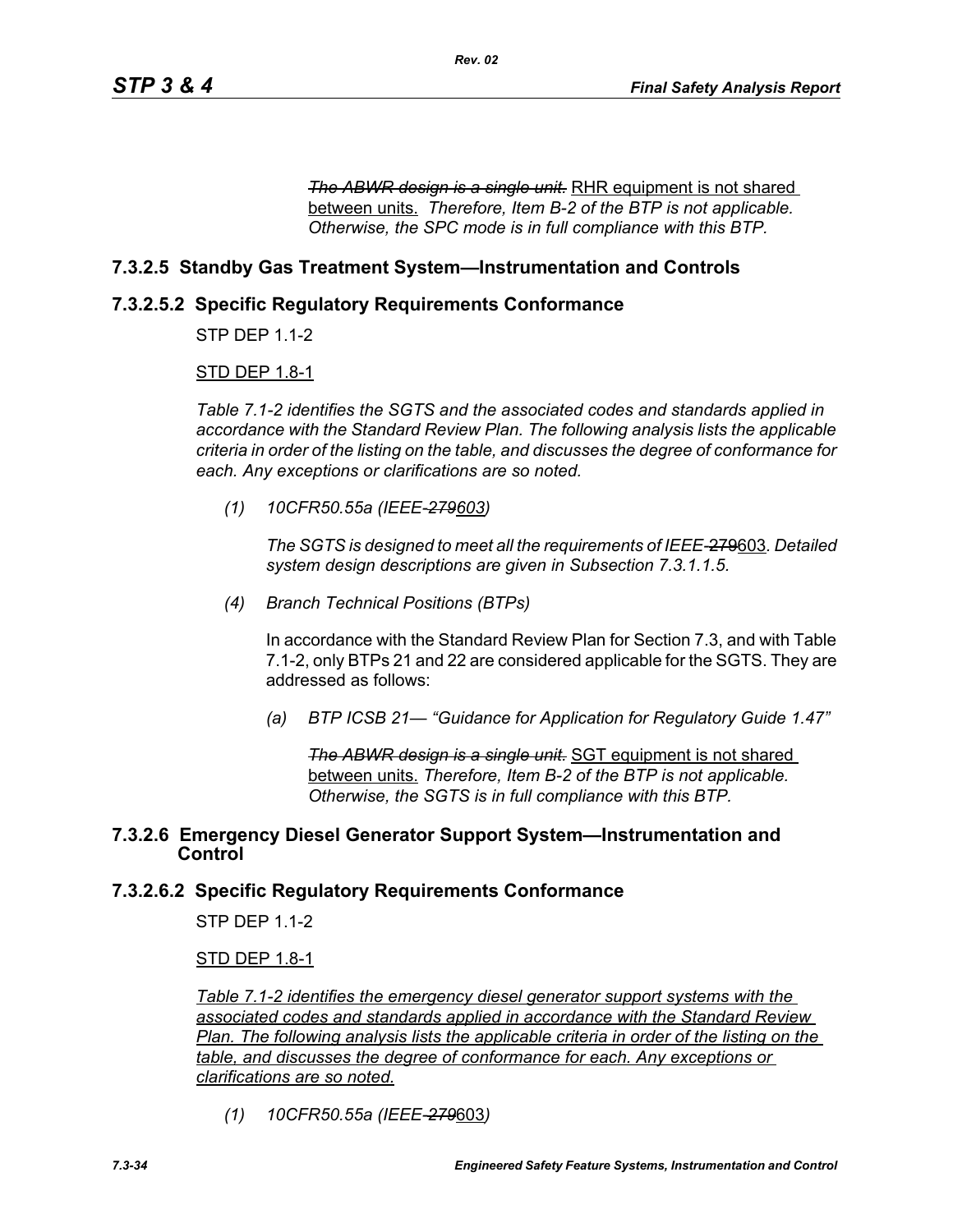**The ABWR design is a single unit.** RHR equipment is not shared between units. *Therefore, Item B-2 of the BTP is not applicable. Otherwise, the SPC mode is in full compliance with this BTP.*

## **7.3.2.5 Standby Gas Treatment System—Instrumentation and Controls**

## **7.3.2.5.2 Specific Regulatory Requirements Conformance**

STP DEP 1.1-2

### STD DEP 1.8-1

*Table 7.1-2 identifies the SGTS and the associated codes and standards applied in accordance with the Standard Review Plan. The following analysis lists the applicable criteria in order of the listing on the table, and discusses the degree of conformance for each. Any exceptions or clarifications are so noted.*

*(1) 10CFR50.55a (IEEE-279603)*

*The SGTS is designed to meet all the requirements of IEEE-*279603*. Detailed system design descriptions are given in Subsection 7.3.1.1.5.*

*(4) Branch Technical Positions (BTPs)*

In accordance with the Standard Review Plan for Section 7.3, and with Table 7.1-2, only BTPs 21 and 22 are considered applicable for the SGTS. They are addressed as follows:

*(a) BTP ICSB 21— "Guidance for Application for Regulatory Guide 1.47"*

*The ABWR design is a single unit.* SGT equipment is not shared between units. *Therefore, Item B-2 of the BTP is not applicable. Otherwise, the SGTS is in full compliance with this BTP.*

### **7.3.2.6 Emergency Diesel Generator Support System—Instrumentation and Control**

## **7.3.2.6.2 Specific Regulatory Requirements Conformance**

STP DEP 1.1-2

### STD DEP 1.8-1

*Table 7.1-2 identifies the emergency diesel generator support systems with the associated codes and standards applied in accordance with the Standard Review Plan. The following analysis lists the applicable criteria in order of the listing on the table, and discusses the degree of conformance for each. Any exceptions or clarifications are so noted.*

*(1) 10CFR50.55a (IEEE-279*603*)*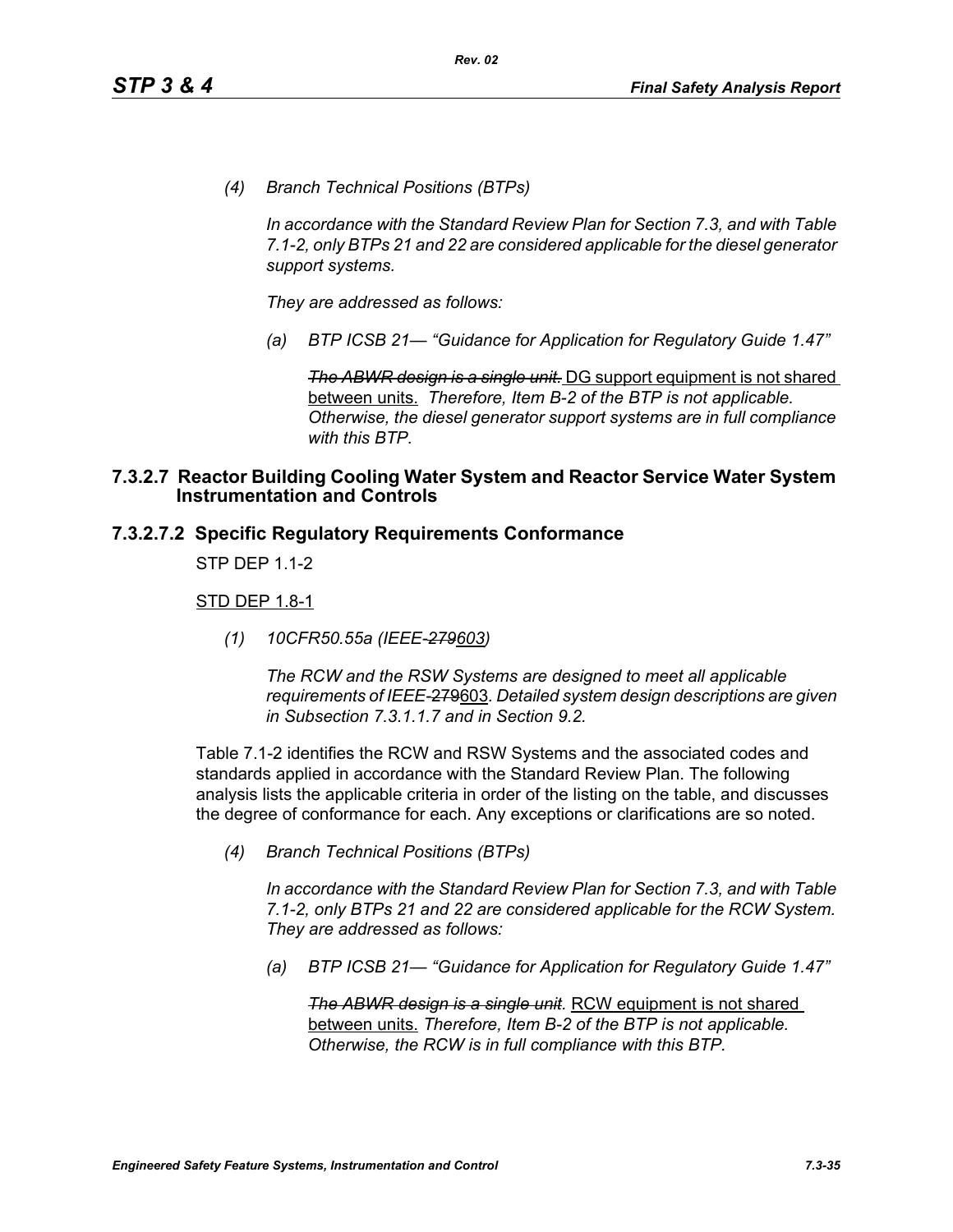*(4) Branch Technical Positions (BTPs)*

*In accordance with the Standard Review Plan for Section 7.3, and with Table 7.1-2, only BTPs 21 and 22 are considered applicable for the diesel generator support systems.*

*They are addressed as follows:*

*(a) BTP ICSB 21— "Guidance for Application for Regulatory Guide 1.47"*

*The ABWR design is a single unit.* DG support equipment is not shared between units. *Therefore, Item B-2 of the BTP is not applicable. Otherwise, the diesel generator support systems are in full compliance with this BTP.*

#### **7.3.2.7 Reactor Building Cooling Water System and Reactor Service Water System Instrumentation and Controls**

#### **7.3.2.7.2 Specific Regulatory Requirements Conformance**

STP DFP 11-2

#### STD DEP 1.8-1

*(1) 10CFR50.55a (IEEE-279603)*

*The RCW and the RSW Systems are designed to meet all applicable requirements of IEEE-*279603*. Detailed system design descriptions are given in Subsection 7.3.1.1.7 and in Section 9.2.*

Table 7.1-2 identifies the RCW and RSW Systems and the associated codes and standards applied in accordance with the Standard Review Plan. The following analysis lists the applicable criteria in order of the listing on the table, and discusses the degree of conformance for each. Any exceptions or clarifications are so noted.

*(4) Branch Technical Positions (BTPs)*

*In accordance with the Standard Review Plan for Section 7.3, and with Table 7.1-2, only BTPs 21 and 22 are considered applicable for the RCW System. They are addressed as follows:*

*(a) BTP ICSB 21— "Guidance for Application for Regulatory Guide 1.47"*

**The ABWR design is a single unit.** RCW equipment is not shared between units. *Therefore, Item B-2 of the BTP is not applicable. Otherwise, the RCW is in full compliance with this BTP.*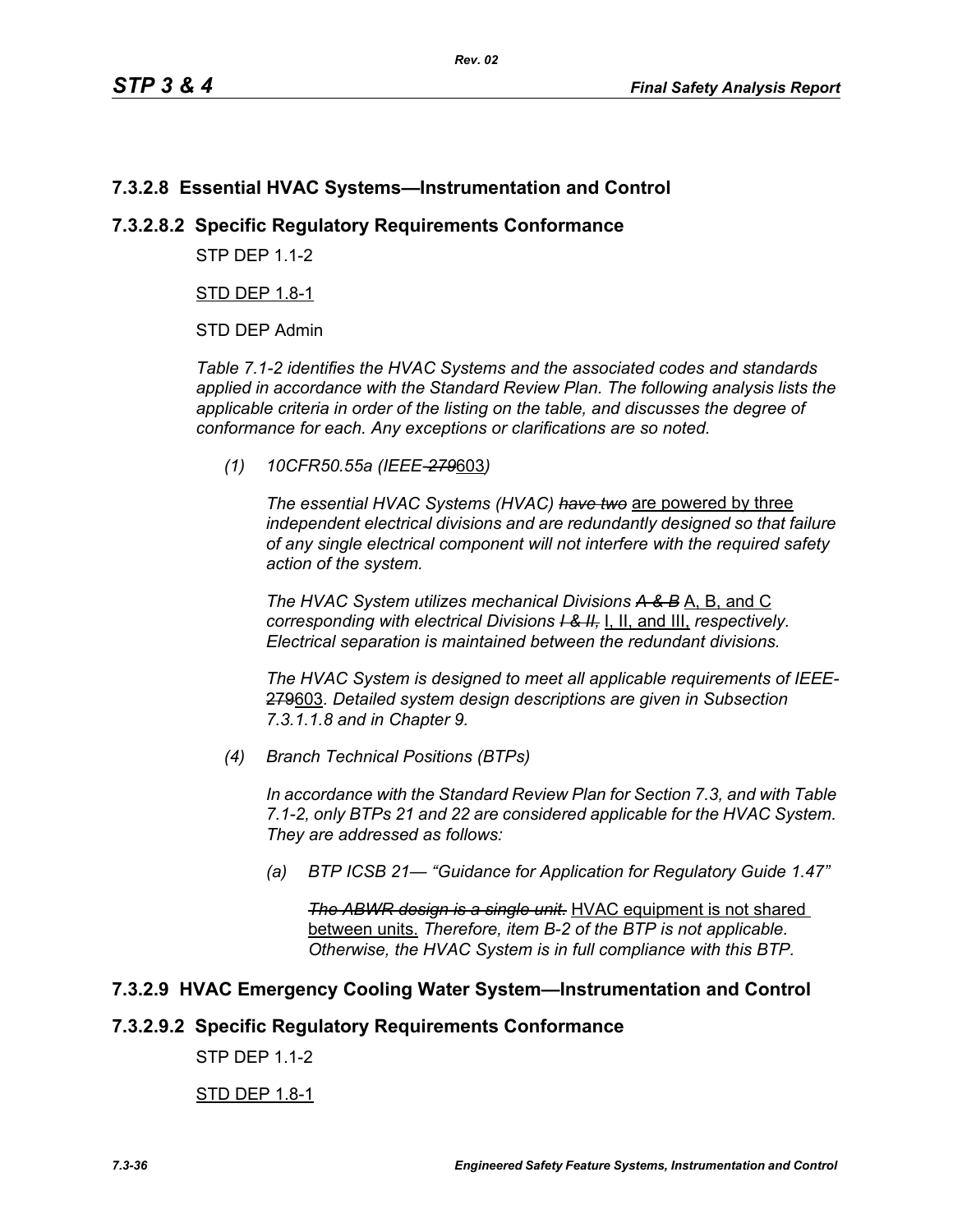## **7.3.2.8 Essential HVAC Systems—Instrumentation and Control**

## **7.3.2.8.2 Specific Regulatory Requirements Conformance**

**STP DFP 1 1-2** 

STD DEP 1.8-1

STD DEP Admin

*Table 7.1-2 identifies the HVAC Systems and the associated codes and standards applied in accordance with the Standard Review Plan. The following analysis lists the applicable criteria in order of the listing on the table, and discusses the degree of conformance for each. Any exceptions or clarifications are so noted.*

*(1) 10CFR50.55a (IEEE-279*603*)*

*The essential HVAC Systems (HVAC) have two* are powered by three *independent electrical divisions and are redundantly designed so that failure of any single electrical component will not interfere with the required safety action of the system.*

*The HVAC System utilizes mechanical Divisions A & B* A, B, and C *corresponding with electrical Divisions I & II,* I, II, and III, *respectively. Electrical separation is maintained between the redundant divisions.*

*The HVAC System is designed to meet all applicable requirements of IEEE-*279603*. Detailed system design descriptions are given in Subsection 7.3.1.1.8 and in Chapter 9.*

*(4) Branch Technical Positions (BTPs)*

*In accordance with the Standard Review Plan for Section 7.3, and with Table 7.1-2, only BTPs 21 and 22 are considered applicable for the HVAC System. They are addressed as follows:*

*(a) BTP ICSB 21— "Guidance for Application for Regulatory Guide 1.47"*

*The ABWR design is a single unit.* HVAC equipment is not shared between units. *Therefore, item B-2 of the BTP is not applicable. Otherwise, the HVAC System is in full compliance with this BTP.*

## **7.3.2.9 HVAC Emergency Cooling Water System—Instrumentation and Control**

### **7.3.2.9.2 Specific Regulatory Requirements Conformance**

STP DEP 1.1-2

### STD DEP 1.8-1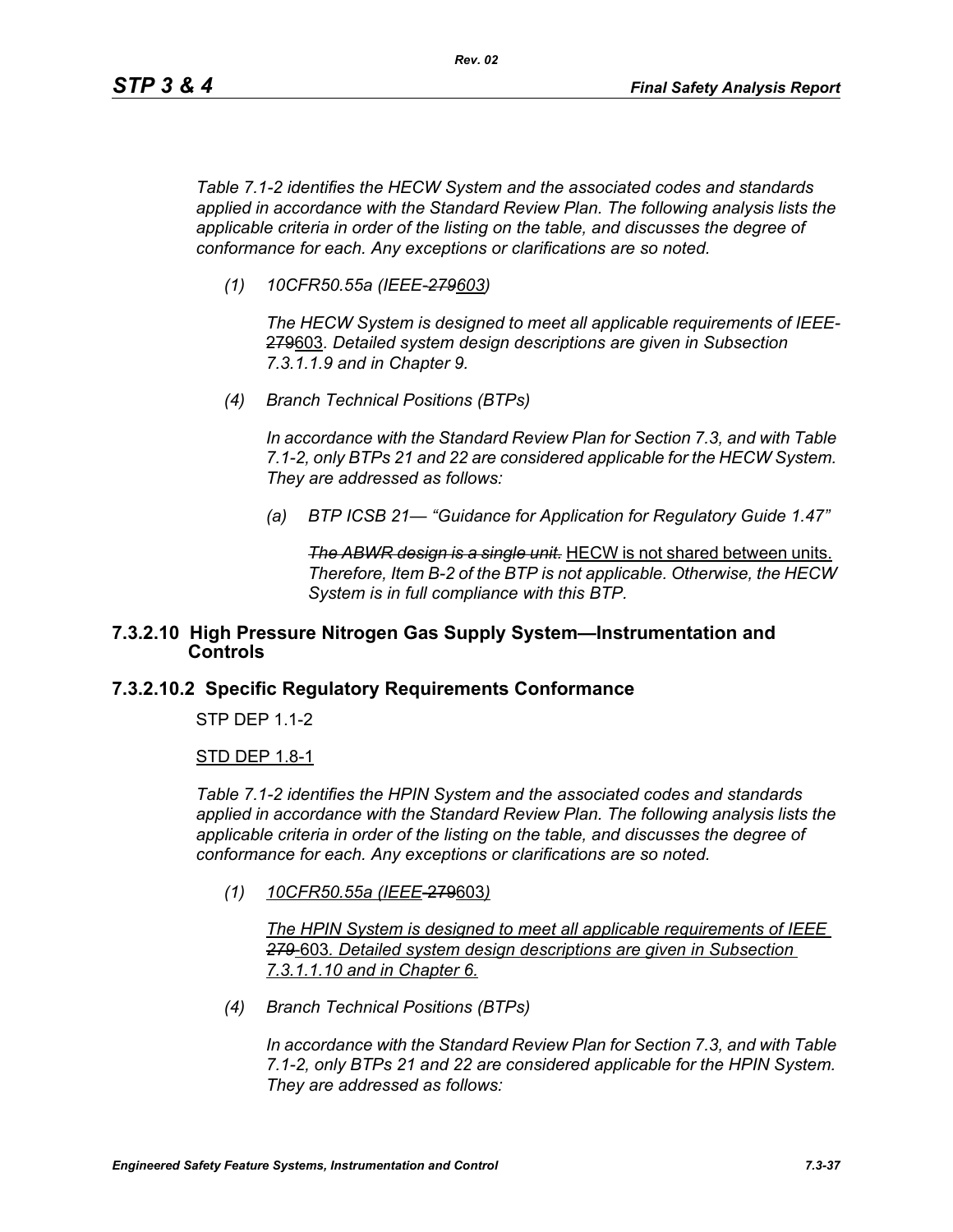*Table 7.1-2 identifies the HECW System and the associated codes and standards applied in accordance with the Standard Review Plan. The following analysis lists the applicable criteria in order of the listing on the table, and discusses the degree of conformance for each. Any exceptions or clarifications are so noted.*

*(1) 10CFR50.55a (IEEE-279603)*

*The HECW System is designed to meet all applicable requirements of IEEE-*279603*. Detailed system design descriptions are given in Subsection 7.3.1.1.9 and in Chapter 9.*

*(4) Branch Technical Positions (BTPs)*

*In accordance with the Standard Review Plan for Section 7.3, and with Table 7.1-2, only BTPs 21 and 22 are considered applicable for the HECW System. They are addressed as follows:*

*(a) BTP ICSB 21— "Guidance for Application for Regulatory Guide 1.47"*

*The ABWR design is a single unit.* HECW is not shared between units. *Therefore, Item B-2 of the BTP is not applicable. Otherwise, the HECW System is in full compliance with this BTP.*

### **7.3.2.10 High Pressure Nitrogen Gas Supply System—Instrumentation and Controls**

### **7.3.2.10.2 Specific Regulatory Requirements Conformance**

STP DEP 1.1-2

#### STD DEP 1.8-1

*Table 7.1-2 identifies the HPIN System and the associated codes and standards applied in accordance with the Standard Review Plan. The following analysis lists the applicable criteria in order of the listing on the table, and discusses the degree of conformance for each. Any exceptions or clarifications are so noted.*

*(1) 10CFR50.55a (IEEE*-279603*)*

*The HPIN System is designed to meet all applicable requirements of IEEE 279*-603*. Detailed system design descriptions are given in Subsection 7.3.1.1.10 and in Chapter 6.*

*(4) Branch Technical Positions (BTPs)*

*In accordance with the Standard Review Plan for Section 7.3, and with Table 7.1-2, only BTPs 21 and 22 are considered applicable for the HPIN System. They are addressed as follows:*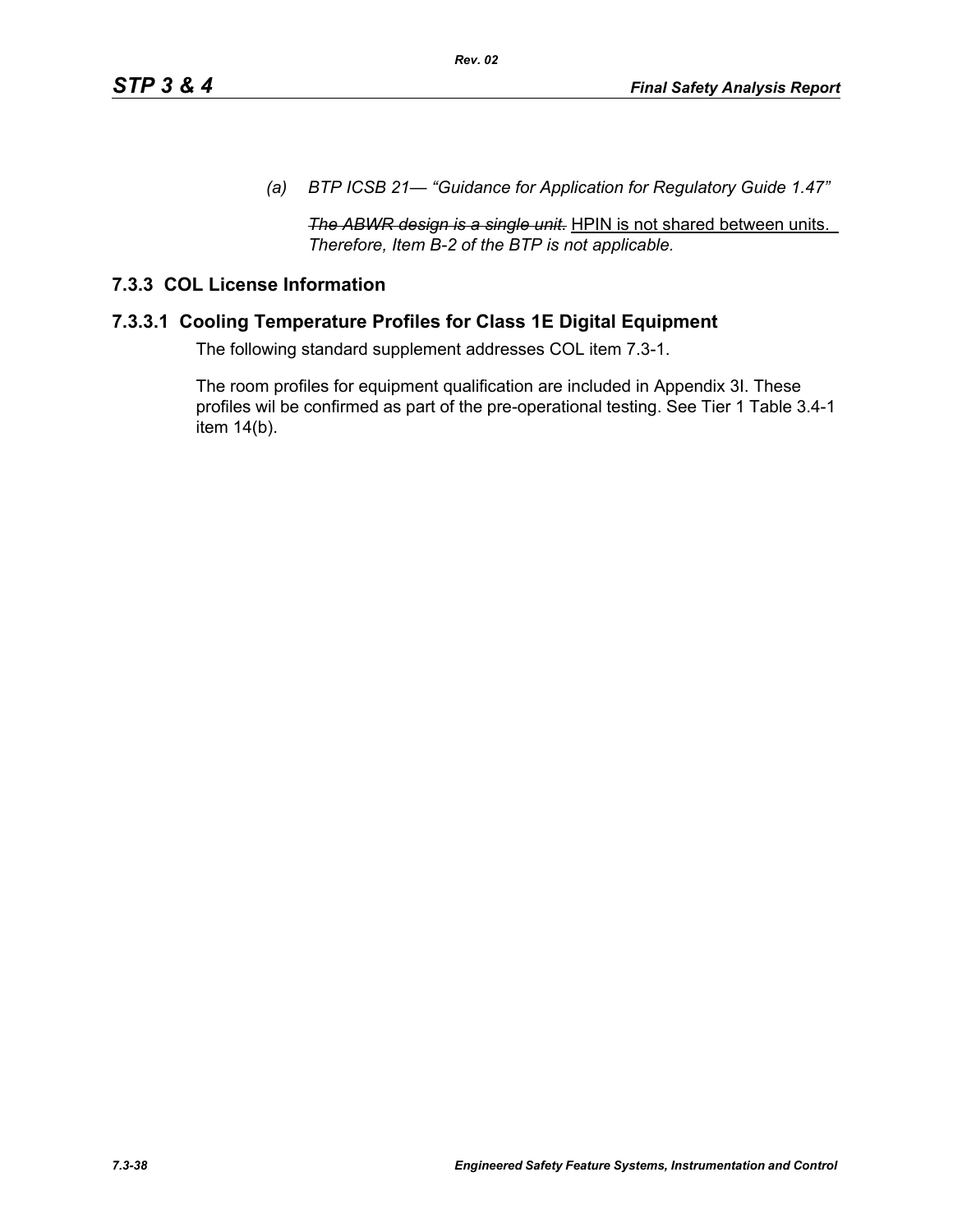*(a) BTP ICSB 21— "Guidance for Application for Regulatory Guide 1.47"*

*The ABWR design is a single unit.* HPIN is not shared between units. *Therefore, Item B-2 of the BTP is not applicable.* 

## **7.3.3 COL License Information**

## **7.3.3.1 Cooling Temperature Profiles for Class 1E Digital Equipment**

The following standard supplement addresses COL item 7.3-1.

The room profiles for equipment qualification are included in Appendix 3I. These profiles wil be confirmed as part of the pre-operational testing. See Tier 1 Table 3.4-1 item 14(b).